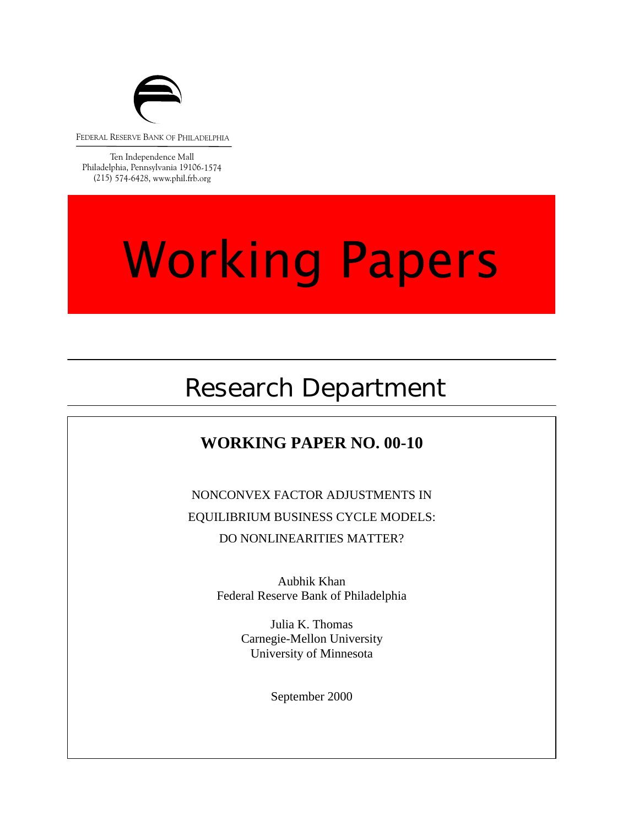

FEDERAL RESERVE BANK OF PHILADELPHIA

Ten Independence Mall Philadelphia, Pennsylvania 19106-1574 (215) 574-6428, www.phil.frb.org

# **Working Papers**

## Research Department

## **WORKING PAPER NO. 00-10**

NONCONVEX FACTOR ADJUSTMENTS IN EQUILIBRIUM BUSINESS CYCLE MODELS: DO NONLINEARITIES MATTER?

> Aubhik Khan Federal Reserve Bank of Philadelphia

> > Julia K. Thomas<br>Carnegie-Mellon University Julia K. Thomas University of Minnesota

> > > September 2000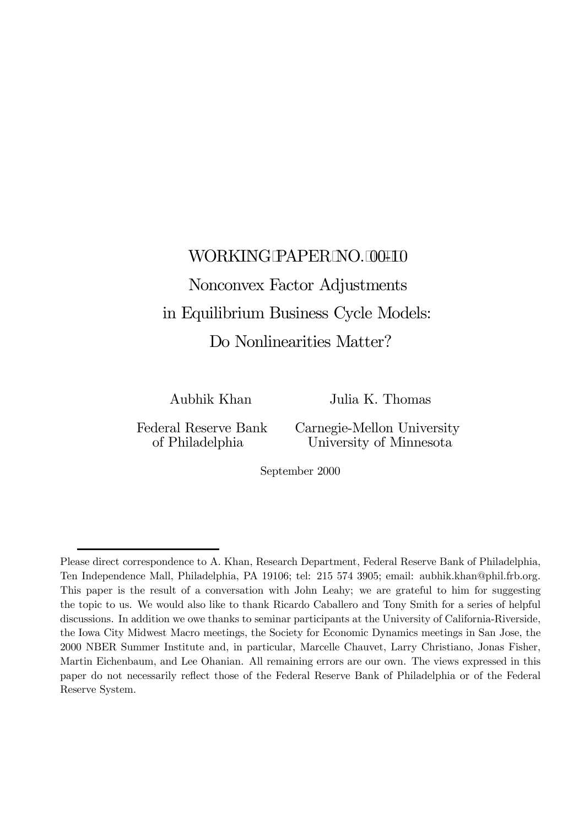# WORKING PAPER NO. 00-10 Nonconvex Factor Adjustments in Equilibrium Business Cycle Models:

Do Nonlinearities Matter?

Aubhik Khan Julia K. Thomas

Federal Reserve Bank Carnegie-Mellon University of Philadelphia University of Minnesota

September 2000

Please direct correspondence to A. Khan, Research Department, Federal Reserve Bank of Philadelphia, Ten Independence Mall, Philadelphia, PA 19106; tel: 215 574 3905; email: aubhik.khan@phil.frb.org. This paper is the result of a conversation with John Leahy; we are grateful to him for suggesting the topic to us. We would also like to thank Ricardo Caballero and Tony Smith for a series of helpful discussions. In addition we owe thanks to seminar participants at the University of California-Riverside, the Iowa City Midwest Macro meetings, the Society for Economic Dynamics meetings in San Jose, the 2000 NBER Summer Institute and, in particular, Marcelle Chauvet, Larry Christiano, Jonas Fisher, Martin Eichenbaum, and Lee Ohanian. All remaining errors are our own. The views expressed in this paper do not necessarily reflect those of the Federal Reserve Bank of Philadelphia or of the Federal Reserve System.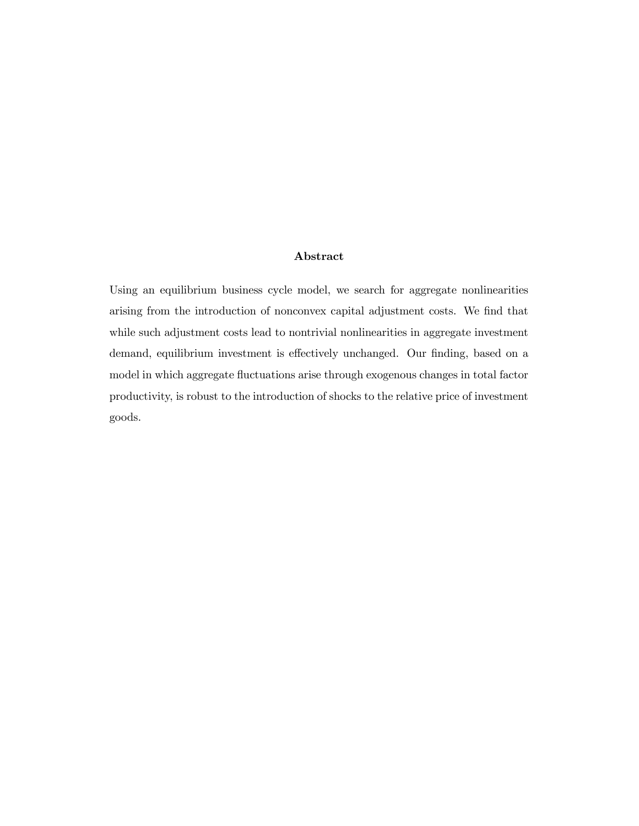#### Abstract

Using an equilibrium business cycle model, we search for aggregate nonlinearities arising from the introduction of nonconvex capital adjustment costs. We find that while such adjustment costs lead to nontrivial nonlinearities in aggregate investment demand, equilibrium investment is effectively unchanged. Our finding, based on a model in which aggregate fluctuations arise through exogenous changes in total factor productivity, is robust to the introduction of shocks to the relative price of investment goods.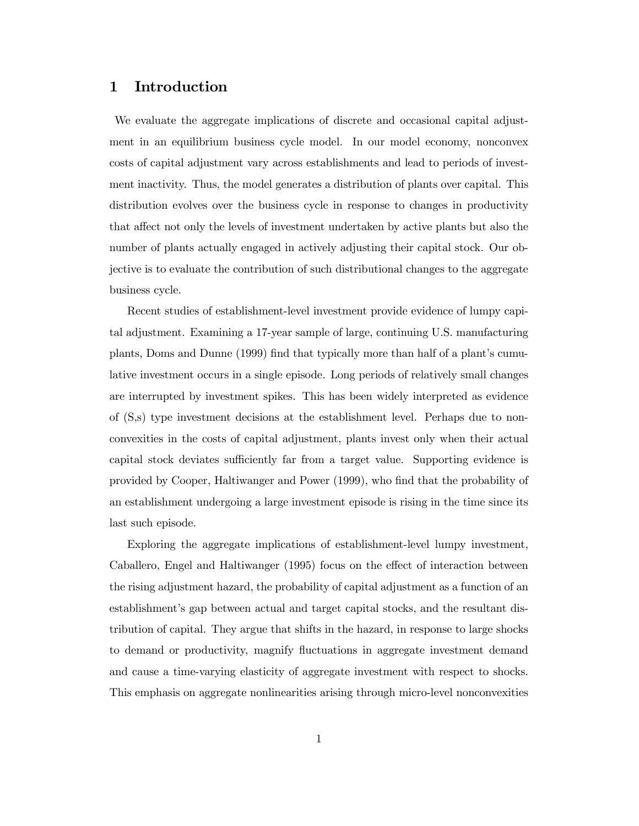#### 1 Introduction

We evaluate the aggregate implications of discrete and occasional capital adjustment in an equilibrium business cycle model. In our model economy, nonconvex costs of capital adjustment vary across establishments and lead to periods of investment inactivity. Thus, the model generates a distribution of plants over capital. This distribution evolves over the business cycle in response to changes in productivity that affect not only the levels of investment undertaken by active plants but also the number of plants actually engaged in actively adjusting their capital stock. Our objective is to evaluate the contribution of such distributional changes to the aggregate business cycle.

Recent studies of establishment-level investment provide evidence of lumpy capital adjustment. Examining a 17-year sample of large, continuing U.S. manufacturing plants, Doms and Dunne (1999) find that typically more than half of a plant's cumulative investment occurs in a single episode. Long periods of relatively small changes are interrupted by investment spikes. This has been widely interpreted as evidence of (S,s) type investment decisions at the establishment level. Perhaps due to nonconvexities in the costs of capital adjustment, plants invest only when their actual capital stock deviates sufficiently far from a target value. Supporting evidence is provided by Cooper, Haltiwanger and Power (1999), who find that the probability of an establishment undergoing a large investment episode is rising in the time since its last such episode.

Exploring the aggregate implications of establishment-level lumpy investment, Caballero, Engel and Haltiwanger (1995) focus on the effect of interaction between the rising adjustment hazard, the probability of capital adjustment as a function of an establishment's gap between actual and target capital stocks, and the resultant distribution of capital. They argue that shifts in the hazard, in response to large shocks to demand or productivity, magnify ‡uctuations in aggregate investment demand and cause a time-varying elasticity of aggregate investment with respect to shocks. This emphasis on aggregate nonlinearities arising through micro-level nonconvexities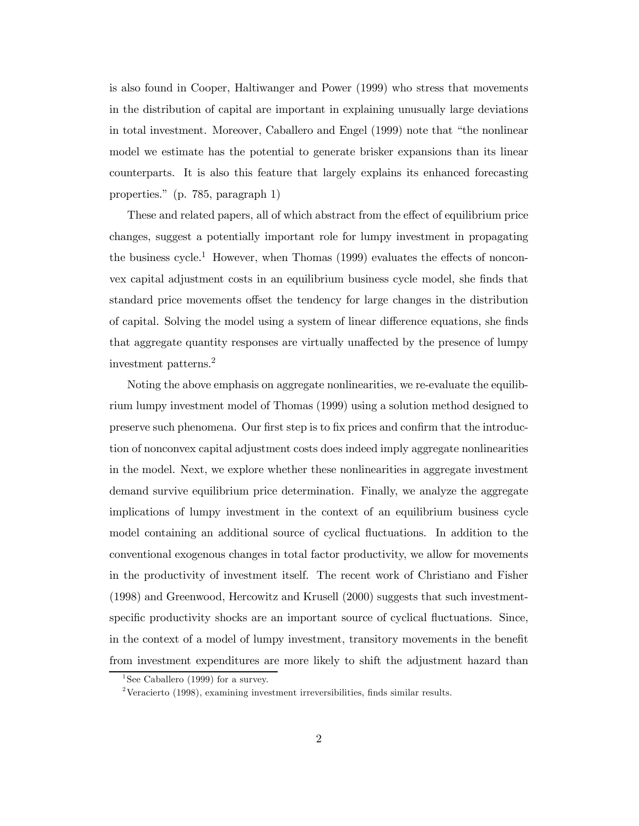is also found in Cooper, Haltiwanger and Power (1999) who stress that movements in the distribution of capital are important in explaining unusually large deviations in total investment. Moreover, Caballero and Engel (1999) note that "the nonlinear model we estimate has the potential to generate brisker expansions than its linear counterparts. It is also this feature that largely explains its enhanced forecasting properties." (p. 785, paragraph 1)

These and related papers, all of which abstract from the effect of equilibrium price changes, suggest a potentially important role for lumpy investment in propagating the business cycle.<sup>1</sup> However, when Thomas  $(1999)$  evaluates the effects of nonconvex capital adjustment costs in an equilibrium business cycle model, she finds that standard price movements offset the tendency for large changes in the distribution of capital. Solving the model using a system of linear difference equations, she finds that aggregate quantity responses are virtually unaffected by the presence of lumpy investment patterns.2

Noting the above emphasis on aggregate nonlinearities, we re-evaluate the equilibrium lumpy investment model of Thomas (1999) using a solution method designed to preserve such phenomena. Our first step is to fix prices and confirm that the introduction of nonconvex capital adjustment costs does indeed imply aggregate nonlinearities in the model. Next, we explore whether these nonlinearities in aggregate investment demand survive equilibrium price determination. Finally, we analyze the aggregate implications of lumpy investment in the context of an equilibrium business cycle model containing an additional source of cyclical ‡uctuations. In addition to the conventional exogenous changes in total factor productivity, we allow for movements in the productivity of investment itself. The recent work of Christiano and Fisher (1998) and Greenwood, Hercowitz and Krusell (2000) suggests that such investmentspecific productivity shocks are an important source of cyclical fluctuations. Since, in the context of a model of lumpy investment, transitory movements in the benefit from investment expenditures are more likely to shift the adjustment hazard than

<sup>&</sup>lt;sup>1</sup>See Caballero (1999) for a survey.

<sup>&</sup>lt;sup>2</sup>Veracierto (1998), examining investment irreversibilities, finds similar results.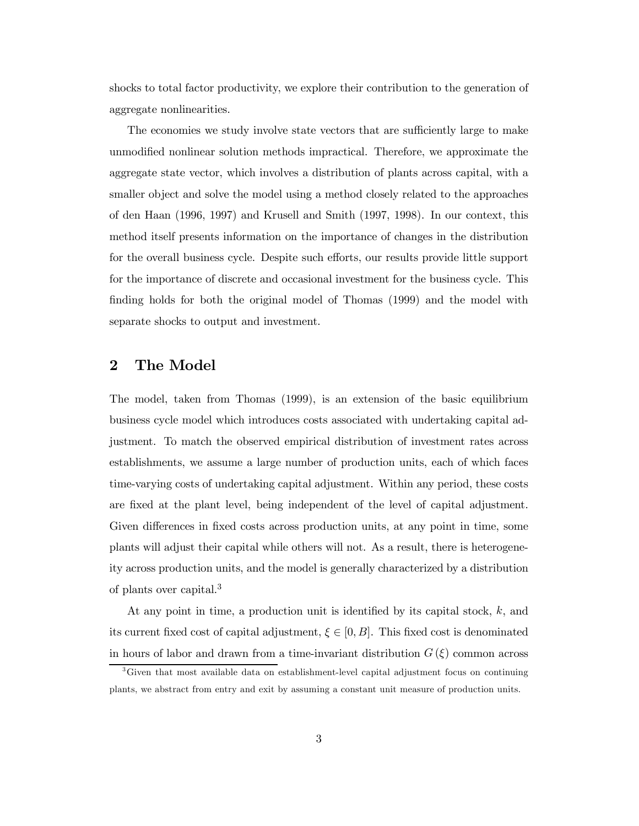shocks to total factor productivity, we explore their contribution to the generation of aggregate nonlinearities.

The economies we study involve state vectors that are sufficiently large to make unmodified nonlinear solution methods impractical. Therefore, we approximate the aggregate state vector, which involves a distribution of plants across capital, with a smaller object and solve the model using a method closely related to the approaches of den Haan (1996, 1997) and Krusell and Smith (1997, 1998). In our context, this method itself presents information on the importance of changes in the distribution for the overall business cycle. Despite such efforts, our results provide little support for the importance of discrete and occasional investment for the business cycle. This finding holds for both the original model of Thomas (1999) and the model with separate shocks to output and investment.

#### 2 The Model

The model, taken from Thomas (1999), is an extension of the basic equilibrium business cycle model which introduces costs associated with undertaking capital adjustment. To match the observed empirical distribution of investment rates across establishments, we assume a large number of production units, each of which faces time-varying costs of undertaking capital adjustment. Within any period, these costs are fixed at the plant level, being independent of the level of capital adjustment. Given differences in fixed costs across production units, at any point in time, some plants will adjust their capital while others will not. As a result, there is heterogeneity across production units, and the model is generally characterized by a distribution of plants over capital.<sup>3</sup>

At any point in time, a production unit is identified by its capital stock,  $k$ , and its current fixed cost of capital adjustment,  $\xi \in [0, B]$ . This fixed cost is denominated in hours of labor and drawn from a time-invariant distribution  $G(\xi)$  common across

<sup>3</sup>Given that most available data on establishment-level capital adjustment focus on continuing plants, we abstract from entry and exit by assuming a constant unit measure of production units.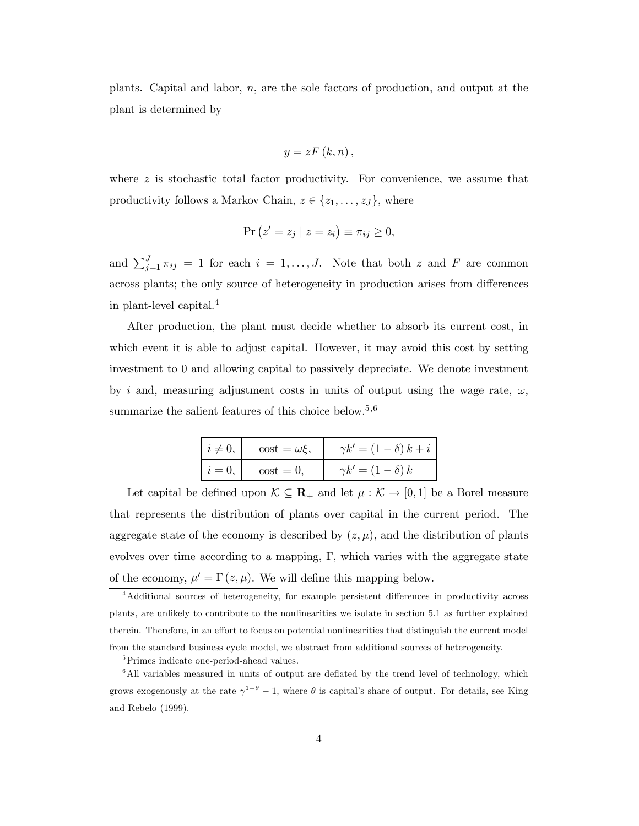plants. Capital and labor, n, are the sole factors of production, and output at the plant is determined by

$$
y=zF(k,n),
$$

where z is stochastic total factor productivity. For convenience, we assume that productivity follows a Markov Chain,  $z \in \{z_1, \ldots, z_J\}$ , where

$$
Pr(z' = z_j | z = z_i) \equiv \pi_{ij} \ge 0,
$$

and  $\sum_{j=1}^{J} \pi_{ij} = 1$  for each  $i = 1, \ldots, J$ . Note that both z and F are common across plants; the only source of heterogeneity in production arises from differences in plant-level capital.<sup>4</sup>

After production, the plant must decide whether to absorb its current cost, in which event it is able to adjust capital. However, it may avoid this cost by setting investment to 0 and allowing capital to passively depreciate. We denote investment by i and, measuring adjustment costs in units of output using the wage rate,  $\omega$ , summarize the salient features of this choice below.<sup>5,6</sup>

| $\vert i\neq 0,$ | $\cos t = \omega \xi$ , | $\gamma k' = (1 - \delta) k + i$ |
|------------------|-------------------------|----------------------------------|
| $i=0$            | $\cos t = 0$ ,          | $\gamma k' = (1 - \delta) k$     |

Let capital be defined upon  $\mathcal{K} \subseteq \mathbf{R}_+$  and let  $\mu : \mathcal{K} \to [0,1]$  be a Borel measure that represents the distribution of plants over capital in the current period. The aggregate state of the economy is described by  $(z, \mu)$ , and the distribution of plants evolves over time according to a mapping,  $\Gamma$ , which varies with the aggregate state of the economy,  $\mu' = \Gamma(z, \mu)$ . We will define this mapping below.

<sup>&</sup>lt;sup>4</sup>Additional sources of heterogeneity, for example persistent differences in productivity across plants, are unlikely to contribute to the nonlinearities we isolate in section 5.1 as further explained therein. Therefore, in an effort to focus on potential nonlinearities that distinguish the current model from the standard business cycle model, we abstract from additional sources of heterogeneity.

<sup>&</sup>lt;sup>5</sup>Primes indicate one-period-ahead values.

 $6$ All variables measured in units of output are deflated by the trend level of technology, which grows exogenously at the rate  $\gamma^{1-\theta} - 1$ , where  $\theta$  is capital's share of output. For details, see King and Rebelo (1999).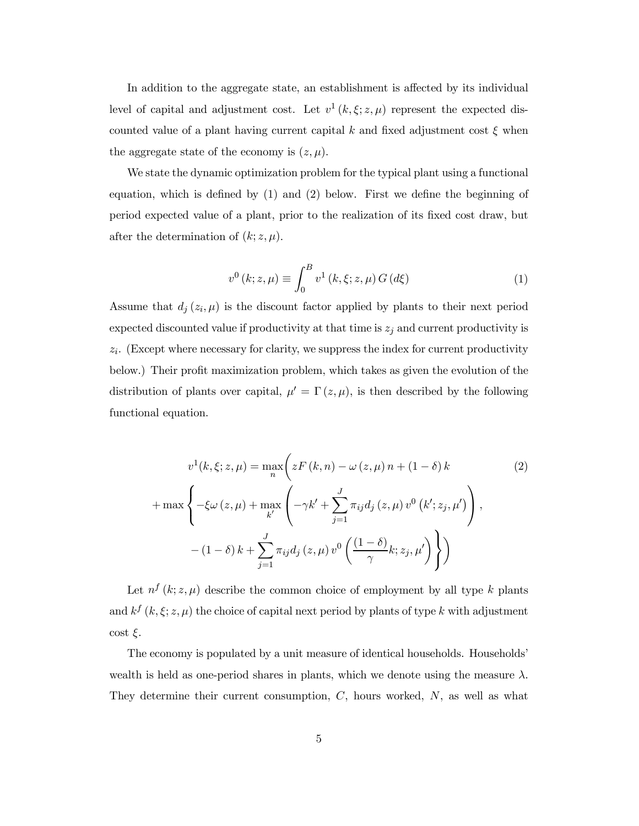In addition to the aggregate state, an establishment is affected by its individual level of capital and adjustment cost. Let  $v^1(k,\xi;z,\mu)$  represent the expected discounted value of a plant having current capital k and fixed adjustment cost  $\xi$  when the aggregate state of the economy is  $(z, \mu)$ .

We state the dynamic optimization problem for the typical plant using a functional equation, which is defined by  $(1)$  and  $(2)$  below. First we define the beginning of period expected value of a plant, prior to the realization of its fixed cost draw, but after the determination of  $(k; z, \mu)$ .

$$
v^{0} (k; z, \mu) \equiv \int_{0}^{B} v^{1} (k, \xi; z, \mu) G(d\xi)
$$
 (1)

Assume that  $d_j(z_i, \mu)$  is the discount factor applied by plants to their next period expected discounted value if productivity at that time is  $z_j$  and current productivity is  $z_i$ . (Except where necessary for clarity, we suppress the index for current productivity below.) Their profit maximization problem, which takes as given the evolution of the distribution of plants over capital,  $\mu' = \Gamma(z, \mu)$ , is then described by the following functional equation.

$$
v^{1}(k, \xi; z, \mu) = \max_{n} \left( zF(k, n) - \omega(z, \mu) n + (1 - \delta) k \right)
$$
  
+ 
$$
\max \left\{ -\xi \omega(z, \mu) + \max_{k'} \left( -\gamma k' + \sum_{j=1}^{J} \pi_{ij} d_{j}(z, \mu) v^{0}(k'; z_{j}, \mu') \right), - (1 - \delta) k + \sum_{j=1}^{J} \pi_{ij} d_{j}(z, \mu) v^{0}\left(\frac{(1 - \delta)}{\gamma} k; z_{j}, \mu'\right) \right\}
$$
 (2)

Let  $n^{f}(k; z, \mu)$  describe the common choice of employment by all type k plants and  $k^f$   $(k, \xi; z, \mu)$  the choice of capital next period by plants of type k with adjustment  $\cot \xi$ .

The economy is populated by a unit measure of identical households. Households' wealth is held as one-period shares in plants, which we denote using the measure  $\lambda$ . They determine their current consumption,  $C$ , hours worked,  $N$ , as well as what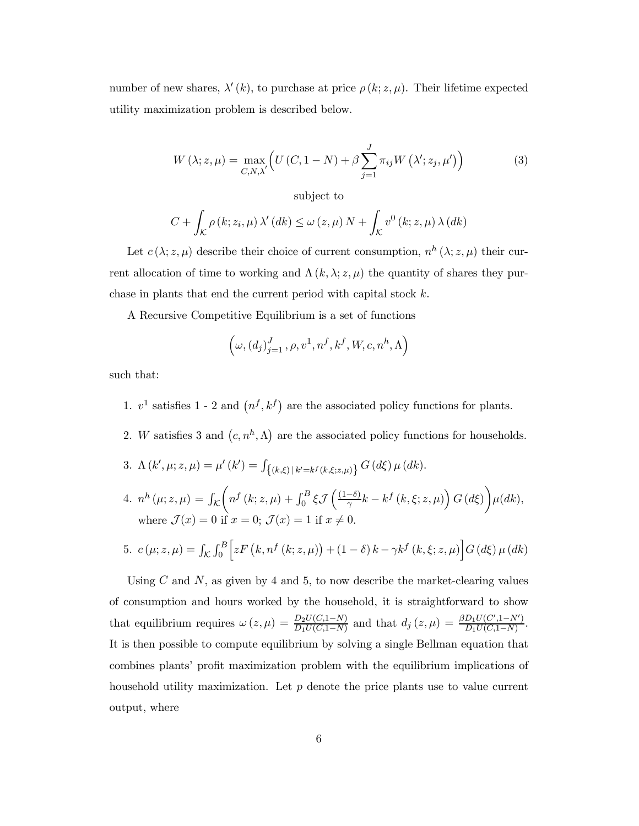number of new shares,  $\lambda'(k)$ , to purchase at price  $\rho(k; z, \mu)$ . Their lifetime expected utility maximization problem is described below.

$$
W(\lambda; z, \mu) = \max_{C, N, \lambda'} \left( U(C, 1 - N) + \beta \sum_{j=1}^{J} \pi_{ij} W(\lambda'; z_j, \mu') \right)
$$
(3)

subject to

$$
C + \int_{\mathcal{K}} \rho(k; z_i, \mu) \, \lambda'(dk) \le \omega(z, \mu) \, N + \int_{\mathcal{K}} v^0(k; z, \mu) \, \lambda(dk)
$$

Let  $c(\lambda; z, \mu)$  describe their choice of current consumption,  $n^h(\lambda; z, \mu)$  their current allocation of time to working and  $\Lambda(k, \lambda; z, \mu)$  the quantity of shares they purchase in plants that end the current period with capital stock  $k$ .

A Recursive Competitive Equilibrium is a set of functions

$$
\left(\omega,(d_j)_{j=1}^J,\rho,v^1,n^f,k^f,W,c,n^h,\Lambda\right)
$$

such that:

- 1.  $v^1$  satisfies 1 2 and  $(n^f, k^f)$  are the associated policy functions for plants.
- 2. W satisfies 3 and  $(c, n^h, \Lambda)$  are the associated policy functions for households.
- 3.  $\Lambda(k', \mu; z, \mu) = \mu'(k') = \int_{\{(k,\xi) | k'=k^f(k,\xi;z,\mu)\}} G(d\xi) \mu(dk).$
- 4.  $n^h (\mu; z, \mu) = \int_{\mathcal{K}}$  $\left(n^{f}\left(k;z,\mu\right)+\int_{0}^{B}\xi\mathcal{J}\left(\frac{(1-\delta)}{\gamma}k-k^{f}\left(k,\xi;z,\mu\right)\right)G\left(d\xi\right)\right.$  $\setminus$  $\mu(dk),$ where  $\mathcal{J}(x)=0$  if  $x = 0$ ;  $\mathcal{J}(x)=1$  if  $x \neq 0$ .

5. 
$$
c(\mu; z, \mu) = \int_{K} \int_{0}^{B} \left[ z F(k, n^{f}(k; z, \mu)) + (1 - \delta) k - \gamma k^{f}(k, \xi; z, \mu) \right] G(d\xi) \mu(dk)
$$

Using C and N, as given by 4 and 5, to now describe the market-clearing values of consumption and hours worked by the household, it is straightforward to show that equilibrium requires  $\omega(z,\mu) = \frac{D_2 U(C,1-N)}{D_1 U(C,1-N)}$  and that  $d_j(z,\mu) = \frac{\beta D_1 U(C',1-N')}{D_1 U(C,1-N)}$ . It is then possible to compute equilibrium by solving a single Bellman equation that combines plants' profit maximization problem with the equilibrium implications of household utility maximization. Let  $p$  denote the price plants use to value current output, where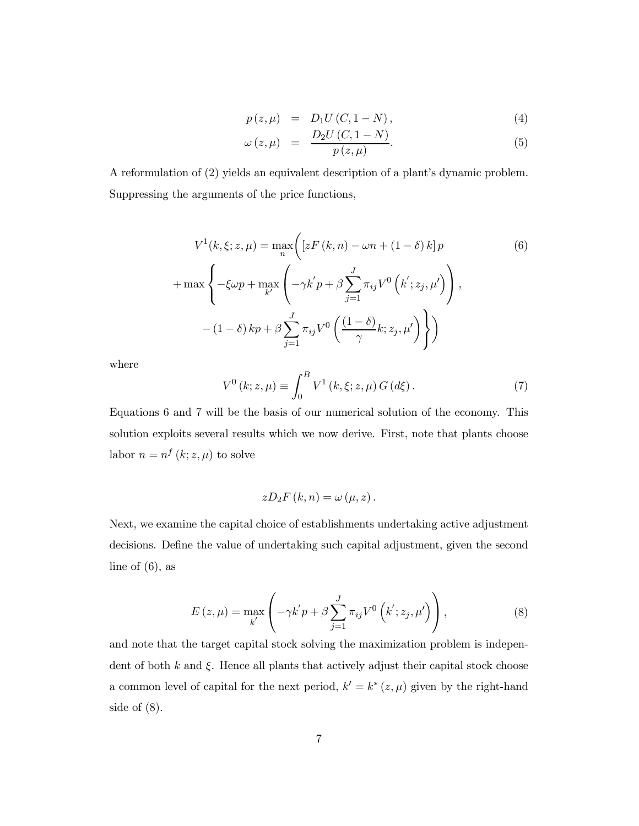$$
p(z,\mu) = D_1 U (C, 1 - N), \tag{4}
$$

$$
\omega(z,\mu) = \frac{D_2 U(C, 1-N)}{p(z,\mu)}.
$$
\n(5)

A reformulation of (2) yields an equivalent description of a plant's dynamic problem. Suppressing the arguments of the price functions,

$$
V^{1}(k, \xi; z, \mu) = \max_{n} \left( \left[ zF(k, n) - \omega n + (1 - \delta) k \right] p \right)
$$
  
+ 
$$
\max \left\{ -\xi \omega p + \max_{k'} \left( -\gamma k' p + \beta \sum_{j=1}^{J} \pi_{ij} V^{0} \left( k'; z_{j}, \mu' \right) \right), -\left( 1 - \delta \right) k p + \beta \sum_{j=1}^{J} \pi_{ij} V^{0} \left( \frac{(1 - \delta)}{\gamma} k; z_{j}, \mu' \right) \right\} \right)
$$
(6)

where

$$
V^{0} (k; z, \mu) \equiv \int_{0}^{B} V^{1} (k, \xi; z, \mu) G (d\xi).
$$
 (7)

Equations 6 and 7 will be the basis of our numerical solution of the economy. This solution exploits several results which we now derive. First, note that plants choose labor  $n = n^f (k; z, \mu)$  to solve

$$
zD_2F(k,n) = \omega(\mu, z).
$$

Next, we examine the capital choice of establishments undertaking active adjustment decisions. Define the value of undertaking such capital adjustment, given the second line of  $(6)$ , as

$$
E(z,\mu) = \max_{k'} \left( -\gamma k' p + \beta \sum_{j=1}^{J} \pi_{ij} V^{0} \left( k'; z_j, \mu' \right) \right), \qquad (8)
$$

and note that the target capital stock solving the maximization problem is independent of both  $k$  and  $\xi$ . Hence all plants that actively adjust their capital stock choose a common level of capital for the next period,  $k' = k^* (z, \mu)$  given by the right-hand side of  $(8)$ .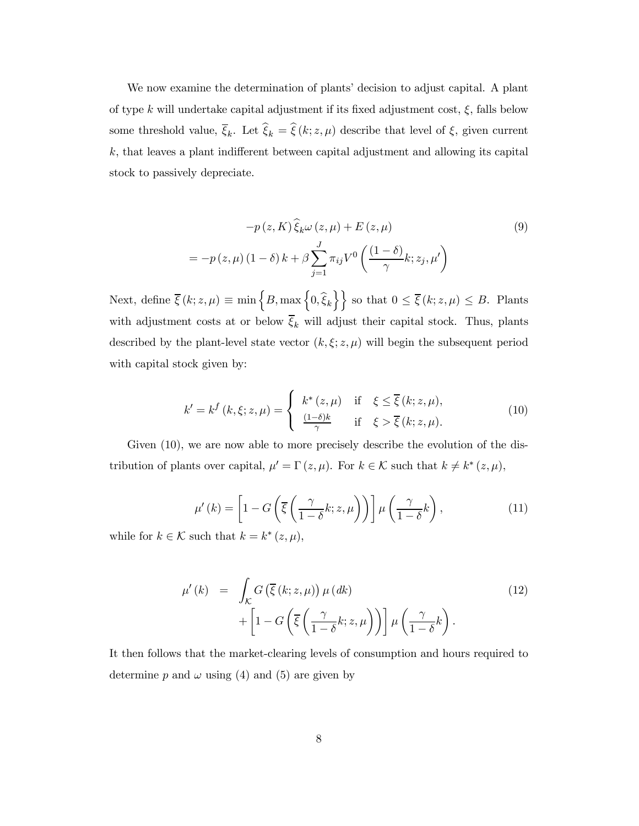We now examine the determination of plants' decision to adjust capital. A plant of type k will undertake capital adjustment if its fixed adjustment cost,  $\xi$ , falls below some threshold value,  $\overline{\xi}_k$ . Let  $\widehat{\xi}_k = \widehat{\xi}(k; z, \mu)$  describe that level of  $\xi$ , given current  $k$ , that leaves a plant indifferent between capital adjustment and allowing its capital stock to passively depreciate.

$$
-p(z, K)\hat{\xi}_{k}\omega(z, \mu) + E(z, \mu)
$$
\n
$$
= -p(z, \mu)(1 - \delta)k + \beta \sum_{j=1}^{J} \pi_{ij} V^{0}\left(\frac{(1 - \delta)}{\gamma}k; z_{j}, \mu'\right)
$$
\n(9)

Next, define  $\overline{\xi}(k; z, \mu) \equiv \min \{B, \max \{0, \widehat{\xi}_k\} \}$  so that  $0 \leq \overline{\xi}(k; z, \mu) \leq B$ . Plants with adjustment costs at or below  $\overline{\xi}_k$  will adjust their capital stock. Thus, plants described by the plant-level state vector  $(k, \xi; z, \mu)$  will begin the subsequent period with capital stock given by:

$$
k' = k^f(k, \xi; z, \mu) = \begin{cases} k^*(z, \mu) & \text{if } \xi \le \overline{\xi}(k; z, \mu), \\ \frac{(1-\delta)k}{\gamma} & \text{if } \xi > \overline{\xi}(k; z, \mu). \end{cases}
$$
(10)

Given (10), we are now able to more precisely describe the evolution of the distribution of plants over capital,  $\mu' = \Gamma(z, \mu)$ . For  $k \in \mathcal{K}$  such that  $k \neq k^*(z, \mu)$ ,

$$
\mu'(k) = \left[1 - G\left(\overline{\xi}\left(\frac{\gamma}{1 - \delta}k; z, \mu\right)\right)\right] \mu\left(\frac{\gamma}{1 - \delta}k\right),\tag{11}
$$

while for  $k \in \mathcal{K}$  such that  $k = k^* (z, \mu)$ ,

$$
\mu'(k) = \int_{\mathcal{K}} G\left(\overline{\xi}(k; z, \mu)\right) \mu(dk) + \left[1 - G\left(\overline{\xi}\left(\frac{\gamma}{1-\delta}k; z, \mu\right)\right)\right] \mu\left(\frac{\gamma}{1-\delta}k\right).
$$
\n(12)

It then follows that the market-clearing levels of consumption and hours required to determine p and  $\omega$  using (4) and (5) are given by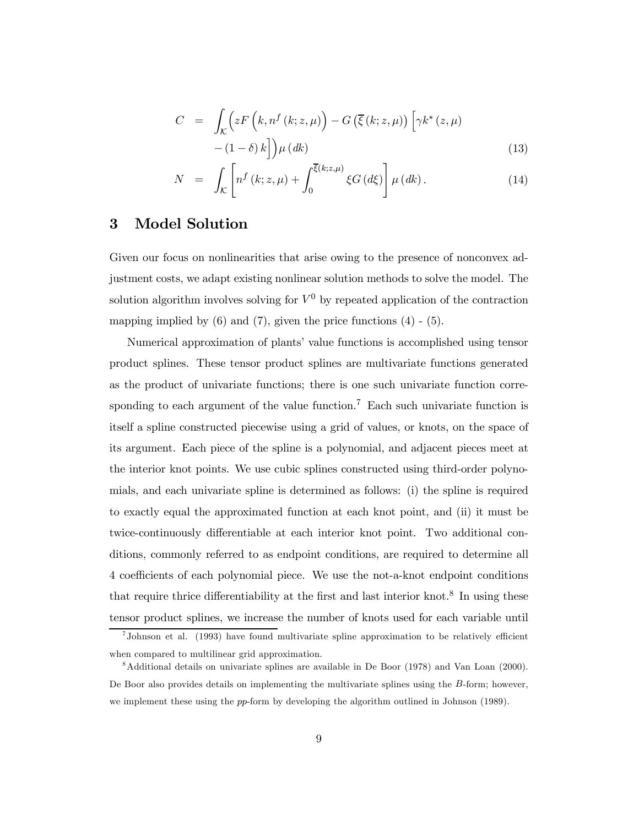$$
C = \int_{\mathcal{K}} \left( zF\left(k, n^f\left(k; z, \mu\right)\right) - G\left(\overline{\xi}\left(k; z, \mu\right)\right) \left[\gamma k^*(z, \mu)\right] - \left(1 - \delta\right)k\right] \mu(dk)
$$
\n(13)

$$
N = \int_{\mathcal{K}} \left[ n^f(k; z, \mu) + \int_0^{\overline{\xi}(k; z, \mu)} \xi G(d\xi) \right] \mu(dk).
$$
 (14)

#### 3 Model Solution

Given our focus on nonlinearities that arise owing to the presence of nonconvex adjustment costs, we adapt existing nonlinear solution methods to solve the model. The solution algorithm involves solving for  $V^0$  by repeated application of the contraction mapping implied by  $(6)$  and  $(7)$ , given the price functions  $(4)$  -  $(5)$ .

Numerical approximation of plants' value functions is accomplished using tensor product splines. These tensor product splines are multivariate functions generated as the product of univariate functions; there is one such univariate function corresponding to each argument of the value function.<sup>7</sup> Each such univariate function is itself a spline constructed piecewise using a grid of values, or knots, on the space of its argument. Each piece of the spline is a polynomial, and adjacent pieces meet at the interior knot points. We use cubic splines constructed using third-order polynomials, and each univariate spline is determined as follows: (i) the spline is required to exactly equal the approximated function at each knot point, and (ii) it must be twice-continuously differentiable at each interior knot point. Two additional conditions, commonly referred to as endpoint conditions, are required to determine all 4 coefficients of each polynomial piece. We use the not-a-knot endpoint conditions that require thrice differentiability at the first and last interior knot.<sup>8</sup> In using these tensor product splines, we increase the number of knots used for each variable until

 $7$ Johnson et al. (1993) have found multivariate spline approximation to be relatively efficient when compared to multilinear grid approximation.

<sup>8</sup>Additional details on univariate splines are available in De Boor (1978) and Van Loan (2000). De Boor also provides details on implementing the multivariate splines using the B-form; however, we implement these using the pp-form by developing the algorithm outlined in Johnson (1989).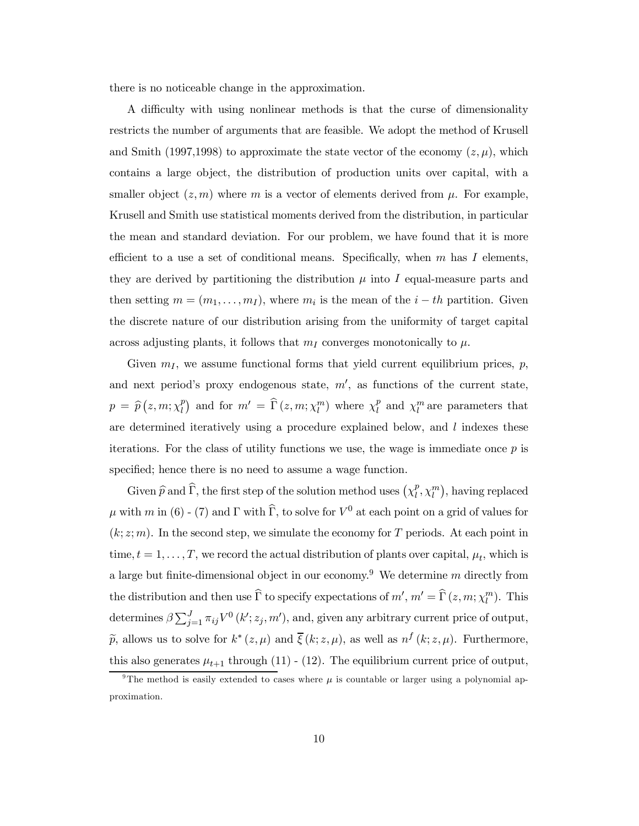there is no noticeable change in the approximation.

A difficulty with using nonlinear methods is that the curse of dimensionality restricts the number of arguments that are feasible. We adopt the method of Krusell and Smith (1997,1998) to approximate the state vector of the economy  $(z, \mu)$ , which contains a large object, the distribution of production units over capital, with a smaller object  $(z,m)$  where m is a vector of elements derived from  $\mu$ . For example, Krusell and Smith use statistical moments derived from the distribution, in particular the mean and standard deviation. For our problem, we have found that it is more efficient to a use a set of conditional means. Specifically, when  $m$  has  $I$  elements, they are derived by partitioning the distribution  $\mu$  into I equal-measure parts and then setting  $m = (m_1, \ldots, m_I)$ , where  $m_i$  is the mean of the  $i-th$  partition. Given the discrete nature of our distribution arising from the uniformity of target capital across adjusting plants, it follows that  $m<sub>I</sub>$  converges monotonically to  $\mu$ .

Given  $m_I$ , we assume functional forms that yield current equilibrium prices,  $p$ , and next period's proxy endogenous state,  $m'$ , as functions of the current state,  $p = \hat{p}(z,m;\chi_l^p)$  and for  $m' = \hat{\Gamma}(z,m;\chi_l^m)$  where  $\chi_l^p$  and  $\chi_l^m$  are parameters that are determined iteratively using a procedure explained below, and  $l$  indexes these iterations. For the class of utility functions we use, the wage is immediate once  $p$  is specified; hence there is no need to assume a wage function.

Given  $\widehat{p}$  and  $\widehat{\Gamma}$ , the first step of the solution method uses  $(\chi_l^p, \chi_l^m)$ , having replaced  $\mu$  with m in (6) - (7) and  $\Gamma$  with  $\widehat{\Gamma}$ , to solve for  $V^0$  at each point on a grid of values for  $(k; z; m)$ . In the second step, we simulate the economy for T periods. At each point in time,  $t = 1, \ldots, T$ , we record the actual distribution of plants over capital,  $\mu_t$ , which is a large but finite-dimensional object in our economy.<sup>9</sup> We determine m directly from the distribution and then use  $\hat{\Gamma}$  to specify expectations of  $m', m' = \hat{\Gamma}(z, m; \chi_l^m)$ . This determines  $\beta \sum_{j=1}^{J} \pi_{ij} V^0(k'; z_j, m')$ , and, given any arbitrary current price of output,  $\tilde{p}$ , allows us to solve for  $k^*(z, \mu)$  and  $\overline{\xi}(k; z, \mu)$ , as well as  $n^f(k; z, \mu)$ . Furthermore, this also generates  $\mu_{t+1}$  through (11) - (12). The equilibrium current price of output,

<sup>&</sup>lt;sup>9</sup>The method is easily extended to cases where  $\mu$  is countable or larger using a polynomial approximation.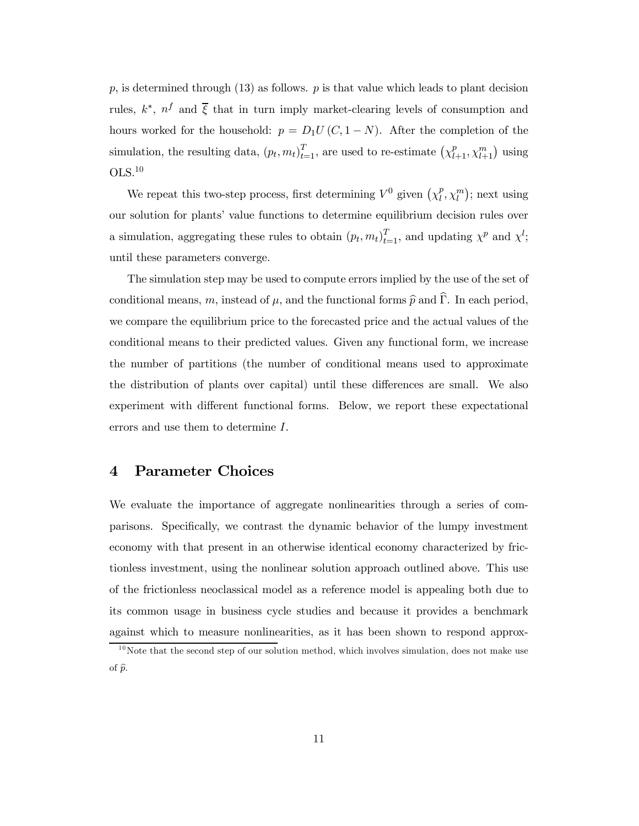$p$ , is determined through (13) as follows.  $p$  is that value which leads to plant decision rules,  $k^*$ ,  $n^f$  and  $\overline{\xi}$  that in turn imply market-clearing levels of consumption and hours worked for the household:  $p = D_1U(C, 1 - N)$ . After the completion of the simulation, the resulting data,  $(p_t, m_t)_{t=1}^T$ , are used to re-estimate  $(\chi_{l+1}^p, \chi_{l+1}^m)$  using OLS.10

We repeat this two-step process, first determining  $V^0$  given  $(\chi_l^p, \chi_l^m)$ ; next using our solution for plants' value functions to determine equilibrium decision rules over a simulation, aggregating these rules to obtain  $(p_t, m_t)_{t=1}^T$ , and updating  $\chi^p$  and  $\chi^l$ ; until these parameters converge.

The simulation step may be used to compute errors implied by the use of the set of conditional means, m, instead of  $\mu$ , and the functional forms  $\hat{p}$  and  $\hat{\Gamma}$ . In each period, we compare the equilibrium price to the forecasted price and the actual values of the conditional means to their predicted values. Given any functional form, we increase the number of partitions (the number of conditional means used to approximate the distribution of plants over capital) until these differences are small. We also experiment with different functional forms. Below, we report these expectational errors and use them to determine I.

#### 4 Parameter Choices

We evaluate the importance of aggregate nonlinearities through a series of comparisons. Specifically, we contrast the dynamic behavior of the lumpy investment economy with that present in an otherwise identical economy characterized by frictionless investment, using the nonlinear solution approach outlined above. This use of the frictionless neoclassical model as a reference model is appealing both due to its common usage in business cycle studies and because it provides a benchmark against which to measure nonlinearities, as it has been shown to respond approx-

 $10$ Note that the second step of our solution method, which involves simulation, does not make use of  $\widehat{p}$ .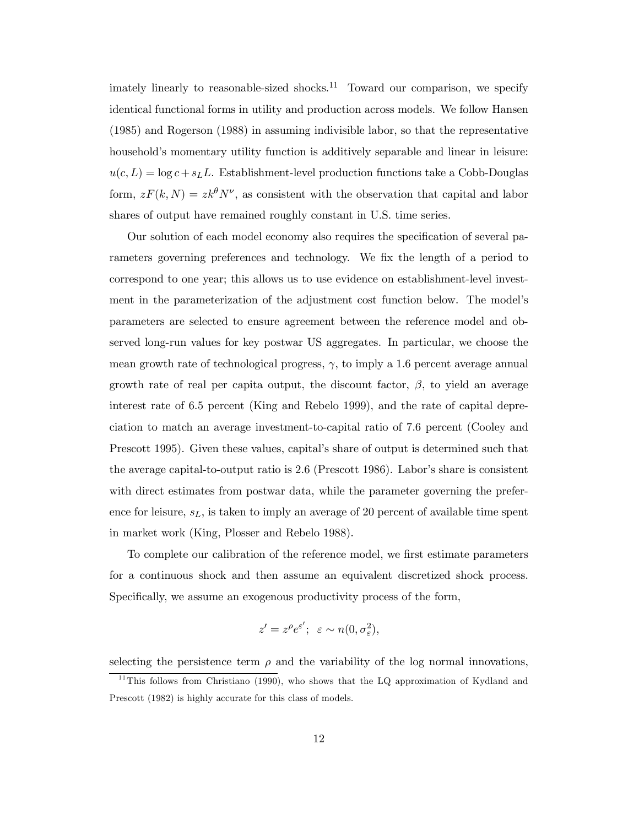imately linearly to reasonable-sized shocks.<sup>11</sup> Toward our comparison, we specify identical functional forms in utility and production across models. We follow Hansen (1985) and Rogerson (1988) in assuming indivisible labor, so that the representative household's momentary utility function is additively separable and linear in leisure:  $u(c, L) = \log c + s_L L$ . Establishment-level production functions take a Cobb-Douglas form,  $zF(k, N) = zk^{\theta}N^{\nu}$ , as consistent with the observation that capital and labor shares of output have remained roughly constant in U.S. time series.

Our solution of each model economy also requires the specification of several parameters governing preferences and technology. We fix the length of a period to correspond to one year; this allows us to use evidence on establishment-level investment in the parameterization of the adjustment cost function below. The model's parameters are selected to ensure agreement between the reference model and observed long-run values for key postwar US aggregates. In particular, we choose the mean growth rate of technological progress,  $\gamma$ , to imply a 1.6 percent average annual growth rate of real per capita output, the discount factor,  $\beta$ , to yield an average interest rate of 6.5 percent (King and Rebelo 1999), and the rate of capital depreciation to match an average investment-to-capital ratio of 7.6 percent (Cooley and Prescott 1995). Given these values, capital's share of output is determined such that the average capital-to-output ratio is 2.6 (Prescott 1986). Labor's share is consistent with direct estimates from postwar data, while the parameter governing the preference for leisure,  $s<sub>L</sub>$ , is taken to imply an average of 20 percent of available time spent in market work (King, Plosser and Rebelo 1988).

To complete our calibration of the reference model, we first estimate parameters for a continuous shock and then assume an equivalent discretized shock process. Specifically, we assume an exogenous productivity process of the form,

$$
z' = z^{\rho} e^{\varepsilon'}; \varepsilon \sim n(0, \sigma_{\varepsilon}^2),
$$

selecting the persistence term  $\rho$  and the variability of the log normal innovations,

 $11$ This follows from Christiano (1990), who shows that the LQ approximation of Kydland and Prescott (1982) is highly accurate for this class of models.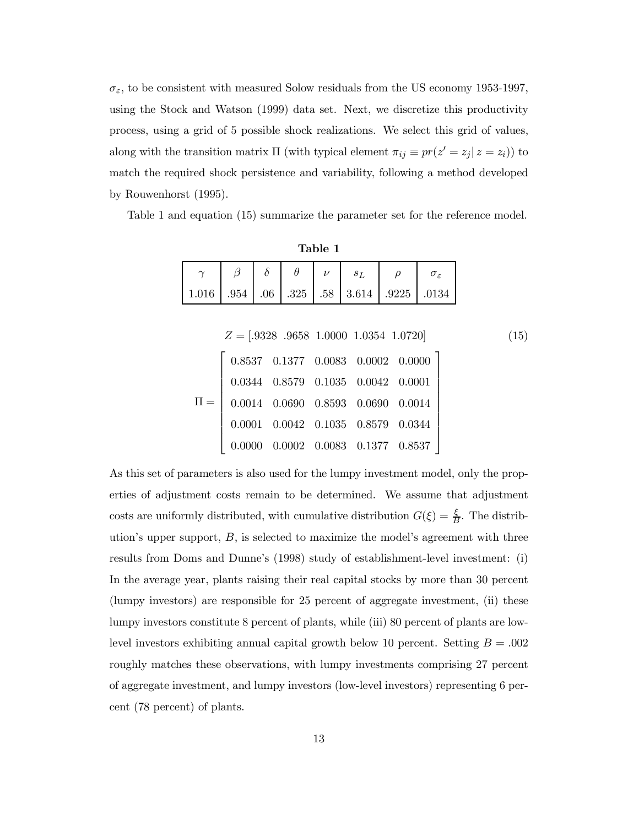$\sigma_{\varepsilon},$  to be consistent with measured Solow residuals from the US economy 1953-1997, using the Stock and Watson (1999) data set. Next, we discretize this productivity process, using a grid of 5 possible shock realizations. We select this grid of values, along with the transition matrix  $\Pi$  (with typical element  $\pi_{ij} \equiv pr(z'= z_j | z = z_i)$ ) to match the required shock persistence and variability, following a method developed by Rouwenhorst (1995).

Table 1 and equation (15) summarize the parameter set for the reference model.

|       |  | Table 1 |                                                                                                                                                           |  |
|-------|--|---------|-----------------------------------------------------------------------------------------------------------------------------------------------------------|--|
|       |  |         | $\begin{array}{c c c}\n\beta & \delta & \theta & \nu & s_L & \rho & \sigma_{\varepsilon} \\ .954 & .06 & .325 & .58 & 3.614 & .9225 & .0134\n\end{array}$ |  |
| 1.016 |  |         |                                                                                                                                                           |  |
|       |  |         |                                                                                                                                                           |  |
|       |  |         | $Z = [0328 \t 0658 \t 10000 \t 10354 \t 10720]$                                                                                                           |  |

| $Z = [.9328 \ .9658 \ 1.0000 \ 1.0354 \ 1.0720]$ |  |                                                          |                                              | (15) |
|--------------------------------------------------|--|----------------------------------------------------------|----------------------------------------------|------|
|                                                  |  |                                                          | $0.8537$ $0.1377$ $0.0083$ $0.0002$ $0.0000$ |      |
|                                                  |  | $0.0344\quad 0.8579\quad 0.1035\quad 0.0042\quad 0.0001$ |                                              |      |
| 0.0014                                           |  | $0.0690\quad 0.8593\quad 0.0690\quad 0.0014$             |                                              |      |
| 0.0001                                           |  | $0.0042\quad 0.1035\quad 0.8579\quad 0.0344$             |                                              |      |
|                                                  |  | $0.0002\quad 0.0083\quad 0.1377\quad 0.8537$             |                                              |      |

As this set of parameters is also used for the lumpy investment model, only the properties of adjustment costs remain to be determined. We assume that adjustment costs are uniformly distributed, with cumulative distribution  $G(\xi) = \frac{\xi}{B}$ . The distribution's upper support,  $B$ , is selected to maximize the model's agreement with three results from Doms and Dunne's (1998) study of establishment-level investment: (i) In the average year, plants raising their real capital stocks by more than 30 percent (lumpy investors) are responsible for 25 percent of aggregate investment, (ii) these lumpy investors constitute 8 percent of plants, while (iii) 80 percent of plants are lowlevel investors exhibiting annual capital growth below 10 percent. Setting  $B = .002$ roughly matches these observations, with lumpy investments comprising 27 percent of aggregate investment, and lumpy investors (low-level investors) representing 6 percent (78 percent) of plants.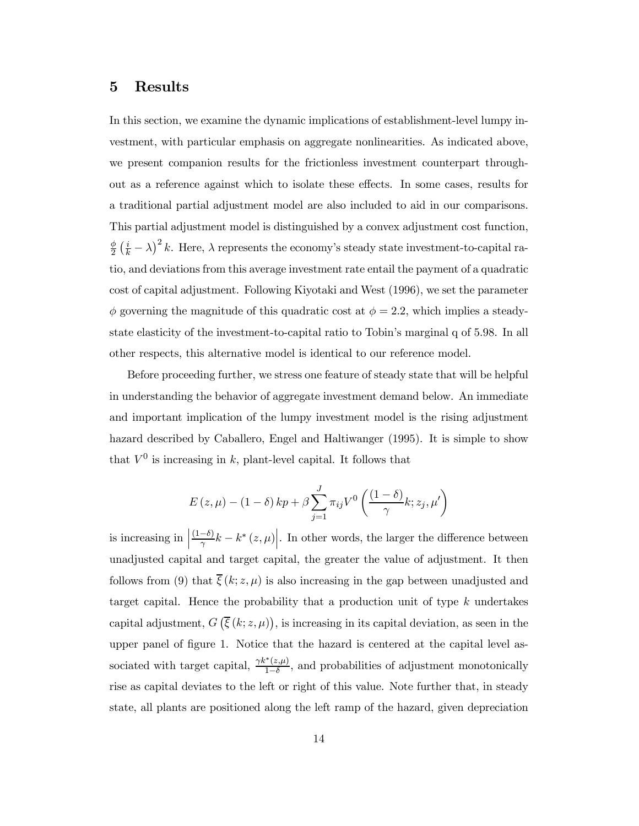#### 5 Results

In this section, we examine the dynamic implications of establishment-level lumpy investment, with particular emphasis on aggregate nonlinearities. As indicated above, we present companion results for the frictionless investment counterpart throughout as a reference against which to isolate these effects. In some cases, results for a traditional partial adjustment model are also included to aid in our comparisons. This partial adjustment model is distinguished by a convex adjustment cost function,  $\phi$  $\frac{\phi}{2}(\frac{i}{k}-\lambda)^2 k$ . Here,  $\lambda$  represents the economy's steady state investment-to-capital ratio, and deviations from this average investment rate entail the payment of a quadratic cost of capital adjustment. Following Kiyotaki and West (1996), we set the parameter  $\phi$  governing the magnitude of this quadratic cost at  $\phi = 2.2$ , which implies a steadystate elasticity of the investment-to-capital ratio to Tobin's marginal q of 5.98. In all other respects, this alternative model is identical to our reference model.

Before proceeding further, we stress one feature of steady state that will be helpful in understanding the behavior of aggregate investment demand below. An immediate and important implication of the lumpy investment model is the rising adjustment hazard described by Caballero, Engel and Haltiwanger (1995). It is simple to show that  $V^0$  is increasing in k, plant-level capital. It follows that

$$
E(z,\mu) - (1 - \delta) k p + \beta \sum_{j=1}^{J} \pi_{ij} V^{0} \left( \frac{(1 - \delta)}{\gamma} k; z_j, \mu' \right)
$$

is increasing in  $\Big\vert$  $\left. \frac{(1-\delta)}{\gamma}k - k^*\left(z,\mu\right)\right|$ . In other words, the larger the difference between unadjusted capital and target capital, the greater the value of adjustment. It then follows from (9) that  $\overline{\xi}(k; z, \mu)$  is also increasing in the gap between unadjusted and target capital. Hence the probability that a production unit of type  $k$  undertakes capital adjustment,  $G\left(\overline{\xi}\left(k;z,\mu\right)\right)$ , is increasing in its capital deviation, as seen in the upper panel of figure 1. Notice that the hazard is centered at the capital level associated with target capital,  $\frac{\gamma k^*(z,\mu)}{1-\delta}$ , and probabilities of adjustment monotonically rise as capital deviates to the left or right of this value. Note further that, in steady state, all plants are positioned along the left ramp of the hazard, given depreciation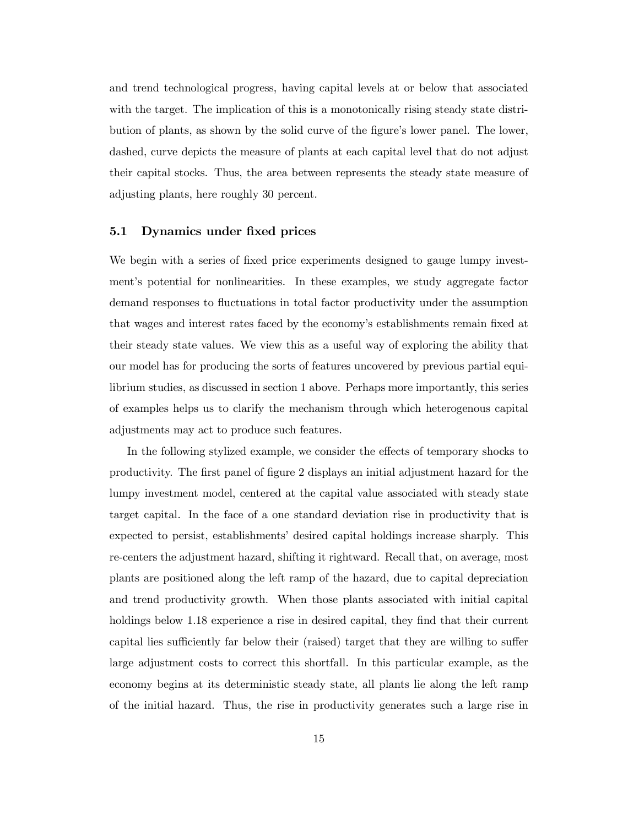and trend technological progress, having capital levels at or below that associated with the target. The implication of this is a monotonically rising steady state distribution of plants, as shown by the solid curve of the figure's lower panel. The lower, dashed, curve depicts the measure of plants at each capital level that do not adjust their capital stocks. Thus, the area between represents the steady state measure of adjusting plants, here roughly 30 percent.

#### 5.1 Dynamics under fixed prices

We begin with a series of fixed price experiments designed to gauge lumpy investment's potential for nonlinearities. In these examples, we study aggregate factor demand responses to fluctuations in total factor productivity under the assumption that wages and interest rates faced by the economy's establishments remain fixed at their steady state values. We view this as a useful way of exploring the ability that our model has for producing the sorts of features uncovered by previous partial equilibrium studies, as discussed in section 1 above. Perhaps more importantly, this series of examples helps us to clarify the mechanism through which heterogenous capital adjustments may act to produce such features.

In the following stylized example, we consider the effects of temporary shocks to productivity. The first panel of figure 2 displays an initial adjustment hazard for the lumpy investment model, centered at the capital value associated with steady state target capital. In the face of a one standard deviation rise in productivity that is expected to persist, establishments' desired capital holdings increase sharply. This re-centers the adjustment hazard, shifting it rightward. Recall that, on average, most plants are positioned along the left ramp of the hazard, due to capital depreciation and trend productivity growth. When those plants associated with initial capital holdings below 1.18 experience a rise in desired capital, they find that their current capital lies sufficiently far below their (raised) target that they are willing to suffer large adjustment costs to correct this shortfall. In this particular example, as the economy begins at its deterministic steady state, all plants lie along the left ramp of the initial hazard. Thus, the rise in productivity generates such a large rise in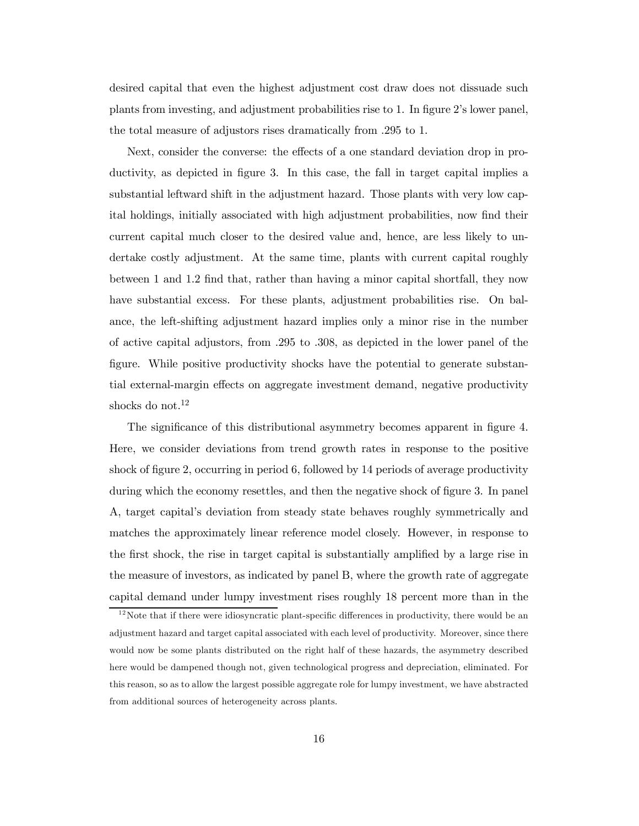desired capital that even the highest adjustment cost draw does not dissuade such plants from investing, and adjustment probabilities rise to 1. In figure 2's lower panel, the total measure of adjustors rises dramatically from .295 to 1.

Next, consider the converse: the effects of a one standard deviation drop in productivity, as depicted in figure 3. In this case, the fall in target capital implies a substantial leftward shift in the adjustment hazard. Those plants with very low capital holdings, initially associated with high adjustment probabilities, now find their current capital much closer to the desired value and, hence, are less likely to undertake costly adjustment. At the same time, plants with current capital roughly between 1 and 1.2 find that, rather than having a minor capital shortfall, they now have substantial excess. For these plants, adjustment probabilities rise. On balance, the left-shifting adjustment hazard implies only a minor rise in the number of active capital adjustors, from .295 to .308, as depicted in the lower panel of the figure. While positive productivity shocks have the potential to generate substantial external-margin effects on aggregate investment demand, negative productivity shocks do not.<sup>12</sup>

The significance of this distributional asymmetry becomes apparent in figure 4. Here, we consider deviations from trend growth rates in response to the positive shock of figure 2, occurring in period 6, followed by  $14$  periods of average productivity during which the economy resettles, and then the negative shock of figure 3. In panel A, target capital's deviation from steady state behaves roughly symmetrically and matches the approximately linear reference model closely. However, in response to the first shock, the rise in target capital is substantially amplified by a large rise in the measure of investors, as indicated by panel B, where the growth rate of aggregate capital demand under lumpy investment rises roughly 18 percent more than in the

 $12$ Note that if there were idiosyncratic plant-specific differences in productivity, there would be an adjustment hazard and target capital associated with each level of productivity. Moreover, since there would now be some plants distributed on the right half of these hazards, the asymmetry described here would be dampened though not, given technological progress and depreciation, eliminated. For this reason, so as to allow the largest possible aggregate role for lumpy investment, we have abstracted from additional sources of heterogeneity across plants.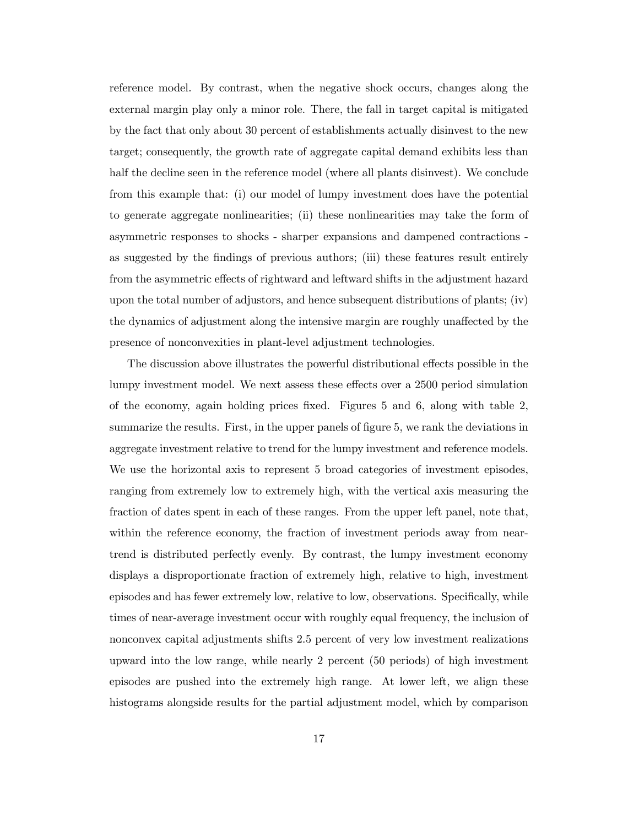reference model. By contrast, when the negative shock occurs, changes along the external margin play only a minor role. There, the fall in target capital is mitigated by the fact that only about 30 percent of establishments actually disinvest to the new target; consequently, the growth rate of aggregate capital demand exhibits less than half the decline seen in the reference model (where all plants disinvest). We conclude from this example that: (i) our model of lumpy investment does have the potential to generate aggregate nonlinearities; (ii) these nonlinearities may take the form of asymmetric responses to shocks - sharper expansions and dampened contractions as suggested by the findings of previous authors; (iii) these features result entirely from the asymmetric effects of rightward and leftward shifts in the adjustment hazard upon the total number of adjustors, and hence subsequent distributions of plants; (iv) the dynamics of adjustment along the intensive margin are roughly unaffected by the presence of nonconvexities in plant-level adjustment technologies.

The discussion above illustrates the powerful distributional effects possible in the lumpy investment model. We next assess these effects over a 2500 period simulation of the economy, again holding prices fixed. Figures  $5$  and  $6$ , along with table 2, summarize the results. First, in the upper panels of figure 5, we rank the deviations in aggregate investment relative to trend for the lumpy investment and reference models. We use the horizontal axis to represent 5 broad categories of investment episodes, ranging from extremely low to extremely high, with the vertical axis measuring the fraction of dates spent in each of these ranges. From the upper left panel, note that, within the reference economy, the fraction of investment periods away from neartrend is distributed perfectly evenly. By contrast, the lumpy investment economy displays a disproportionate fraction of extremely high, relative to high, investment episodes and has fewer extremely low, relative to low, observations. Specifically, while times of near-average investment occur with roughly equal frequency, the inclusion of nonconvex capital adjustments shifts 2.5 percent of very low investment realizations upward into the low range, while nearly 2 percent (50 periods) of high investment episodes are pushed into the extremely high range. At lower left, we align these histograms alongside results for the partial adjustment model, which by comparison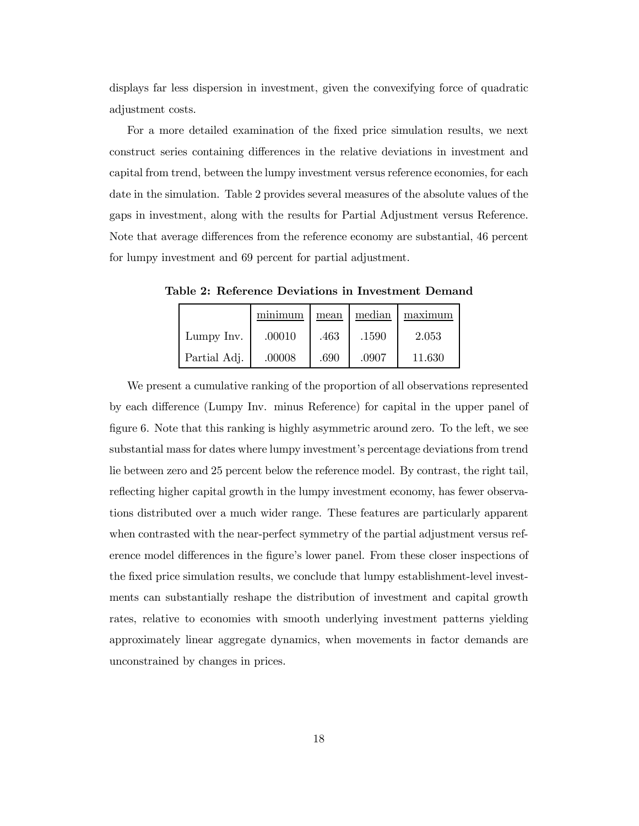displays far less dispersion in investment, given the convexifying force of quadratic adjustment costs.

For a more detailed examination of the fixed price simulation results, we next construct series containing differences in the relative deviations in investment and capital from trend, between the lumpy investment versus reference economies, for each date in the simulation. Table 2 provides several measures of the absolute values of the gaps in investment, along with the results for Partial Adjustment versus Reference. Note that average differences from the reference economy are substantial, 46 percent for lumpy investment and 69 percent for partial adjustment.

Table 2: Reference Deviations in Investment Demand

|              | minimum | mean | median | 1 maximum |
|--------------|---------|------|--------|-----------|
| Lumpy Inv.   | .00010  | .463 | .1590  | 2.053     |
| Partial Adj. | .00008  | .690 | .0907  | 11.630    |

We present a cumulative ranking of the proportion of all observations represented by each difference (Lumpy Inv. minus Reference) for capital in the upper panel of figure 6. Note that this ranking is highly asymmetric around zero. To the left, we see substantial mass for dates where lumpy investment's percentage deviations from trend lie between zero and 25 percent below the reference model. By contrast, the right tail, reflecting higher capital growth in the lumpy investment economy, has fewer observations distributed over a much wider range. These features are particularly apparent when contrasted with the near-perfect symmetry of the partial adjustment versus reference model differences in the figure's lower panel. From these closer inspections of the fixed price simulation results, we conclude that lumpy establishment-level investments can substantially reshape the distribution of investment and capital growth rates, relative to economies with smooth underlying investment patterns yielding approximately linear aggregate dynamics, when movements in factor demands are unconstrained by changes in prices.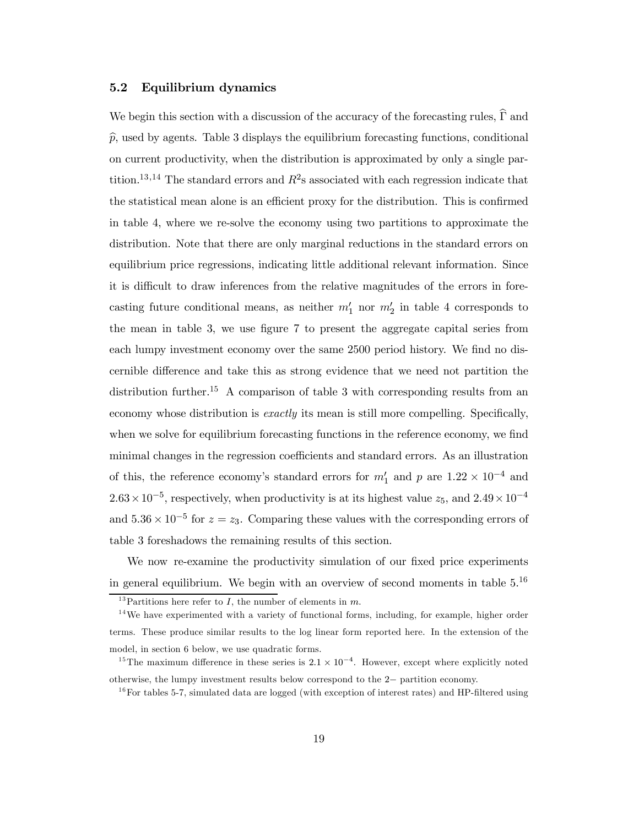#### 5.2 Equilibrium dynamics

We begin this section with a discussion of the accuracy of the forecasting rules,  $\widehat{\Gamma}$  and  $\hat{p}$ , used by agents. Table 3 displays the equilibrium forecasting functions, conditional on current productivity, when the distribution is approximated by only a single partition.<sup>13,14</sup> The standard errors and  $R^2$ s associated with each regression indicate that the statistical mean alone is an efficient proxy for the distribution. This is confirmed in table 4, where we re-solve the economy using two partitions to approximate the distribution. Note that there are only marginal reductions in the standard errors on equilibrium price regressions, indicating little additional relevant information. Since it is difficult to draw inferences from the relative magnitudes of the errors in forecasting future conditional means, as neither  $m'_1$  nor  $m'_2$  in table 4 corresponds to the mean in table 3, we use figure 7 to present the aggregate capital series from each lumpy investment economy over the same 2500 period history. We find no discernible difference and take this as strong evidence that we need not partition the distribution further.<sup>15</sup> A comparison of table 3 with corresponding results from an economy whose distribution is *exactly* its mean is still more compelling. Specifically, when we solve for equilibrium forecasting functions in the reference economy, we find minimal changes in the regression coefficients and standard errors. As an illustration of this, the reference economy's standard errors for  $m'_1$  and p are  $1.22 \times 10^{-4}$  and  $2.63 \times 10^{-5}$ , respectively, when productivity is at its highest value  $z_5$ , and  $2.49 \times 10^{-4}$ and  $5.36 \times 10^{-5}$  for  $z = z_3$ . Comparing these values with the corresponding errors of table 3 foreshadows the remaining results of this section.

We now re-examine the productivity simulation of our fixed price experiments in general equilibrium. We begin with an overview of second moments in table  $5^{16}$ 

<sup>&</sup>lt;sup>13</sup>Partitions here refer to *I*, the number of elements in  $m$ .

 $14$ We have experimented with a variety of functional forms, including, for example, higher order terms. These produce similar results to the log linear form reported here. In the extension of the model, in section 6 below, we use quadratic forms.

<sup>&</sup>lt;sup>15</sup>The maximum difference in these series is  $2.1 \times 10^{-4}$ . However, except where explicitly noted otherwise, the lumpy investment results below correspond to the  $2-$  partition economy.<br><sup>16</sup>For tables 5-7, simulated data are logged (with exception of interest rates) and HP-filtered using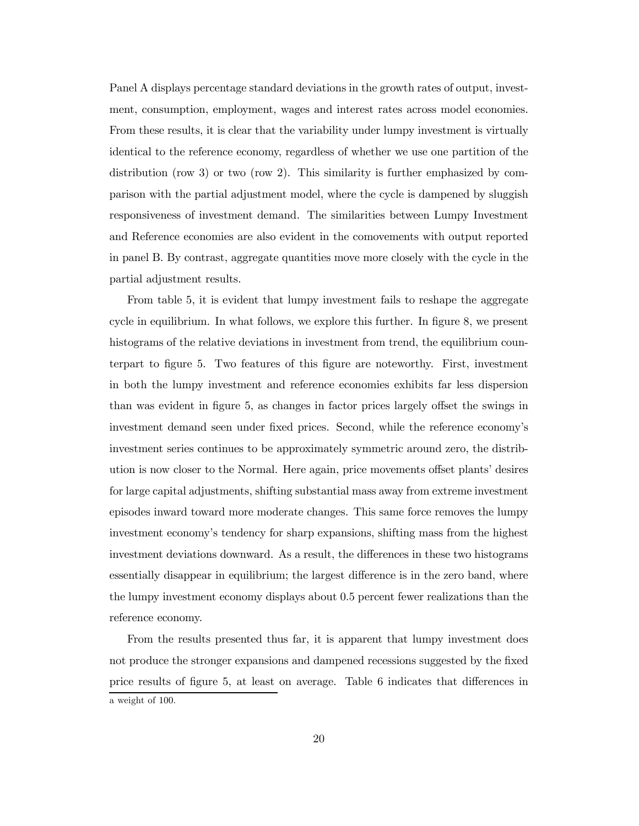Panel A displays percentage standard deviations in the growth rates of output, investment, consumption, employment, wages and interest rates across model economies. From these results, it is clear that the variability under lumpy investment is virtually identical to the reference economy, regardless of whether we use one partition of the distribution (row 3) or two (row 2). This similarity is further emphasized by comparison with the partial adjustment model, where the cycle is dampened by sluggish responsiveness of investment demand. The similarities between Lumpy Investment and Reference economies are also evident in the comovements with output reported in panel B. By contrast, aggregate quantities move more closely with the cycle in the partial adjustment results.

From table 5, it is evident that lumpy investment fails to reshape the aggregate cycle in equilibrium. In what follows, we explore this further. In figure 8, we present histograms of the relative deviations in investment from trend, the equilibrium counterpart to figure 5. Two features of this figure are noteworthy. First, investment in both the lumpy investment and reference economies exhibits far less dispersion than was evident in figure 5, as changes in factor prices largely offset the swings in investment demand seen under fixed prices. Second, while the reference economy's investment series continues to be approximately symmetric around zero, the distribution is now closer to the Normal. Here again, price movements offset plants' desires for large capital adjustments, shifting substantial mass away from extreme investment episodes inward toward more moderate changes. This same force removes the lumpy investment economy's tendency for sharp expansions, shifting mass from the highest investment deviations downward. As a result, the differences in these two histograms essentially disappear in equilibrium; the largest difference is in the zero band, where the lumpy investment economy displays about 0.5 percent fewer realizations than the reference economy.

From the results presented thus far, it is apparent that lumpy investment does not produce the stronger expansions and dampened recessions suggested by the fixed price results of figure 5, at least on average. Table 6 indicates that differences in a weight of 100.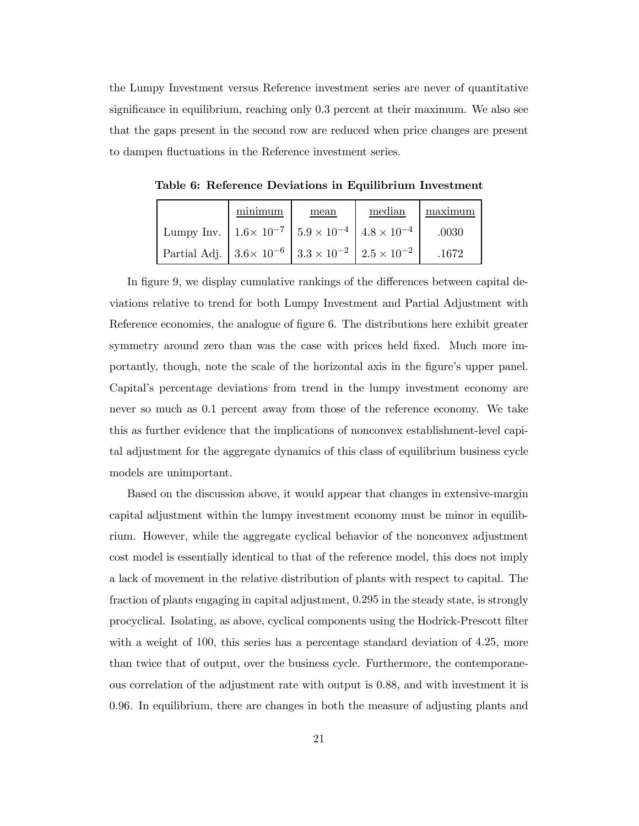the Lumpy Investment versus Reference investment series are never of quantitative significance in equilibrium, reaching only  $0.3$  percent at their maximum. We also see that the gaps present in the second row are reduced when price changes are present to dampen fluctuations in the Reference investment series.

|                                                                               | minimum | mean | median | maximum |
|-------------------------------------------------------------------------------|---------|------|--------|---------|
| Lumpy Inv. $1.6 \times 10^{-7}$   $5.9 \times 10^{-4}$   $4.8 \times 10^{-4}$ |         |      |        | .0030   |
| Partial Adj. $3.6 \times 10^{-6}$ $3.3 \times 10^{-2}$ $2.5 \times 10^{-2}$   |         |      |        | .1672   |

Table 6: Reference Deviations in Equilibrium Investment

In figure 9, we display cumulative rankings of the differences between capital deviations relative to trend for both Lumpy Investment and Partial Adjustment with Reference economies, the analogue of figure 6. The distributions here exhibit greater symmetry around zero than was the case with prices held fixed. Much more importantly, though, note the scale of the horizontal axis in the figure's upper panel. Capital's percentage deviations from trend in the lumpy investment economy are never so much as 0.1 percent away from those of the reference economy. We take this as further evidence that the implications of nonconvex establishment-level capital adjustment for the aggregate dynamics of this class of equilibrium business cycle models are unimportant.

Based on the discussion above, it would appear that changes in extensive-margin capital adjustment within the lumpy investment economy must be minor in equilibrium. However, while the aggregate cyclical behavior of the nonconvex adjustment cost model is essentially identical to that of the reference model, this does not imply a lack of movement in the relative distribution of plants with respect to capital. The fraction of plants engaging in capital adjustment, 0:295 in the steady state, is strongly procyclical. Isolating, as above, cyclical components using the Hodrick-Prescott filter with a weight of 100, this series has a percentage standard deviation of 4.25, more than twice that of output, over the business cycle. Furthermore, the contemporaneous correlation of the adjustment rate with output is 0:88, and with investment it is 0:96. In equilibrium, there are changes in both the measure of adjusting plants and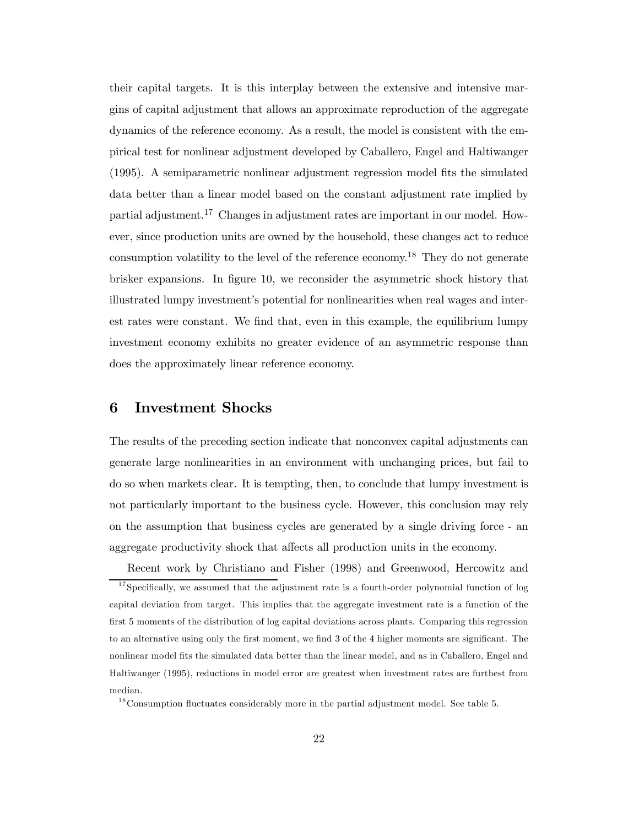their capital targets. It is this interplay between the extensive and intensive margins of capital adjustment that allows an approximate reproduction of the aggregate dynamics of the reference economy. As a result, the model is consistent with the empirical test for nonlinear adjustment developed by Caballero, Engel and Haltiwanger  $(1995)$ . A semiparametric nonlinear adjustment regression model fits the simulated data better than a linear model based on the constant adjustment rate implied by partial adjustment.<sup>17</sup> Changes in adjustment rates are important in our model. However, since production units are owned by the household, these changes act to reduce consumption volatility to the level of the reference economy.18 They do not generate brisker expansions. In figure 10, we reconsider the asymmetric shock history that illustrated lumpy investment's potential for nonlinearities when real wages and interest rates were constant. We find that, even in this example, the equilibrium lumpy investment economy exhibits no greater evidence of an asymmetric response than does the approximately linear reference economy.

#### 6 Investment Shocks

The results of the preceding section indicate that nonconvex capital adjustments can generate large nonlinearities in an environment with unchanging prices, but fail to do so when markets clear. It is tempting, then, to conclude that lumpy investment is not particularly important to the business cycle. However, this conclusion may rely on the assumption that business cycles are generated by a single driving force - an aggregate productivity shock that affects all production units in the economy.

Recent work by Christiano and Fisher (1998) and Greenwood, Hercowitz and  $17$  Specifically, we assumed that the adjustment rate is a fourth-order polynomial function of log capital deviation from target. This implies that the aggregate investment rate is a function of the first 5 moments of the distribution of log capital deviations across plants. Comparing this regression to an alternative using only the first moment, we find 3 of the 4 higher moments are significant. The nonlinear model fits the simulated data better than the linear model, and as in Caballero, Engel and Haltiwanger (1995), reductions in model error are greatest when investment rates are furthest from median.

 $18$ Consumption fluctuates considerably more in the partial adjustment model. See table 5.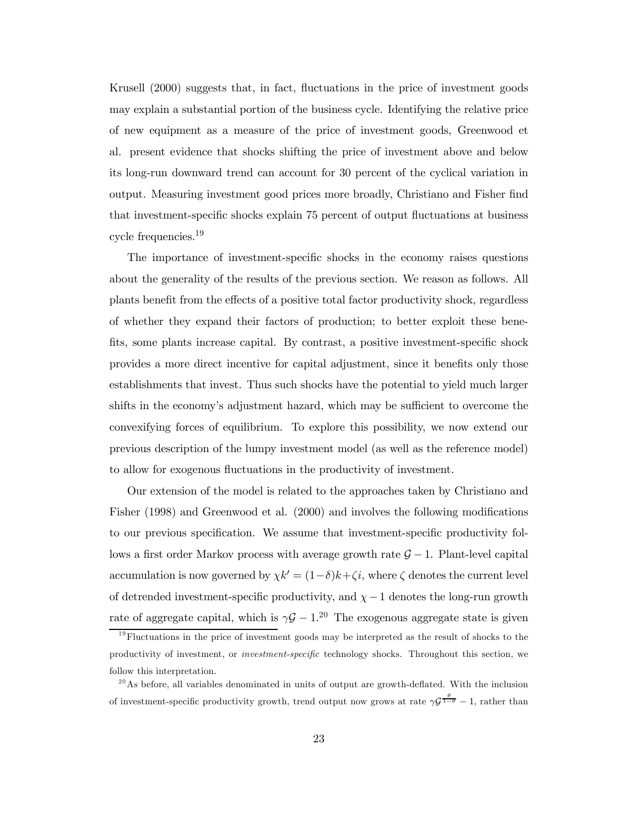Krusell (2000) suggests that, in fact, fluctuations in the price of investment goods may explain a substantial portion of the business cycle. Identifying the relative price of new equipment as a measure of the price of investment goods, Greenwood et al. present evidence that shocks shifting the price of investment above and below its long-run downward trend can account for 30 percent of the cyclical variation in output. Measuring investment good prices more broadly, Christiano and Fisher find that investment-specific shocks explain 75 percent of output fluctuations at business cycle frequencies.19

The importance of investment-specific shocks in the economy raises questions about the generality of the results of the previous section. We reason as follows. All plants benefit from the effects of a positive total factor productivity shock, regardless of whether they expand their factors of production; to better exploit these bene fits, some plants increase capital. By contrast, a positive investment-specific shock provides a more direct incentive for capital adjustment, since it benefits only those establishments that invest. Thus such shocks have the potential to yield much larger shifts in the economy's adjustment hazard, which may be sufficient to overcome the convexifying forces of equilibrium. To explore this possibility, we now extend our previous description of the lumpy investment model (as well as the reference model) to allow for exogenous fluctuations in the productivity of investment.

Our extension of the model is related to the approaches taken by Christiano and Fisher  $(1998)$  and Greenwood et al.  $(2000)$  and involves the following modifications to our previous specification. We assume that investment-specific productivity follows a first order Markov process with average growth rate  $G - 1$ . Plant-level capital accumulation is now governed by  $\chi k' = (1-\delta)k + \zeta i$ , where  $\zeta$  denotes the current level of detrended investment-specific productivity, and  $\chi - 1$  denotes the long-run growth rate of aggregate capital, which is  $\gamma \mathcal{G} - 1$ .<sup>20</sup> The exogenous aggregate state is given

 $19$ Fluctuations in the price of investment goods may be interpreted as the result of shocks to the productivity of investment, or *investment-specific* technology shocks. Throughout this section, we follow this interpretation.

 $^{20}$ As before, all variables denominated in units of output are growth-deflated. With the inclusion of investment-specific productivity growth, trend output now grows at rate  $\gamma \mathcal{G}^{\frac{\theta}{1-\theta}} - 1$ , rather than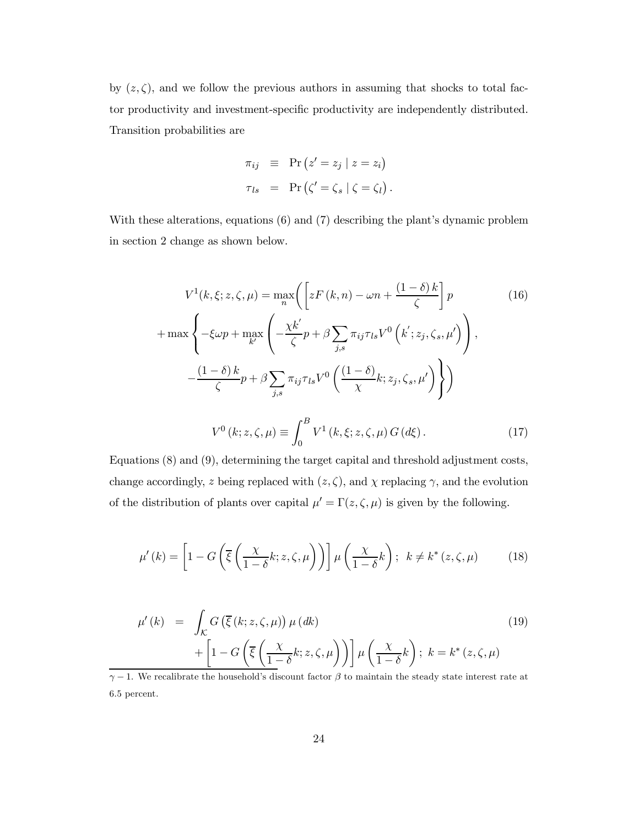by  $(z, \zeta)$ , and we follow the previous authors in assuming that shocks to total factor productivity and investment-specific productivity are independently distributed. Transition probabilities are

$$
\pi_{ij} \equiv \Pr(z' = z_j | z = z_i)
$$
  

$$
\tau_{ls} = \Pr(\zeta' = \zeta_s | \zeta = \zeta_l).
$$

With these alterations, equations (6) and (7) describing the plant's dynamic problem in section 2 change as shown below.

$$
V^{1}(k, \xi; z, \zeta, \mu) = \max_{n} \left( \left[ zF(k, n) - \omega n + \frac{(1 - \delta)k}{\zeta} \right] p \right)
$$
  
+ 
$$
\max \left\{ -\xi \omega p + \max_{k'} \left( -\frac{\chi k'}{\zeta} p + \beta \sum_{j,s} \pi_{ij} \tau_{ls} V^{0} \left( k'; z_{j}, \zeta_{s}, \mu' \right) \right),
$$
  

$$
-\frac{(1 - \delta)k}{\zeta} p + \beta \sum_{j,s} \pi_{ij} \tau_{ls} V^{0} \left( \frac{(1 - \delta)}{\chi} k; z_{j}, \zeta_{s}, \mu' \right) \right\}
$$
  

$$
V^{0}(k; z, \zeta, \mu) \equiv \int_{0}^{B} V^{1}(k, \xi; z, \zeta, \mu) G(d\xi).
$$
 (17)

Equations (8) and (9), determining the target capital and threshold adjustment costs, change accordingly, z being replaced with  $(z, \zeta)$ , and  $\chi$  replacing  $\gamma$ , and the evolution of the distribution of plants over capital  $\mu' = \Gamma(z, \zeta, \mu)$  is given by the following.

$$
\mu'(k) = \left[1 - G\left(\overline{\xi}\left(\frac{\chi}{1-\delta}k; z, \zeta, \mu\right)\right)\right] \mu\left(\frac{\chi}{1-\delta}k\right); \ k \neq k^*(z, \zeta, \mu) \tag{18}
$$

$$
\mu'(k) = \int_{\mathcal{K}} G\left(\overline{\xi}(k; z, \zeta, \mu)\right) \mu(dk)
$$
\n
$$
+ \left[1 - G\left(\overline{\xi}\left(\frac{\chi}{1-\delta}k; z, \zeta, \mu\right)\right)\right] \mu\left(\frac{\chi}{1-\delta}k\right); \ k = k^*(z, \zeta, \mu)
$$
\nWe recall that the household's discount factor  $\beta$  to minimize the steady state intersect at  $\alpha$ .

 $\gamma - 1$ . We recalibrate the household's discount factor  $\beta$  to maintain the steady state interest rate at 6.5 percent.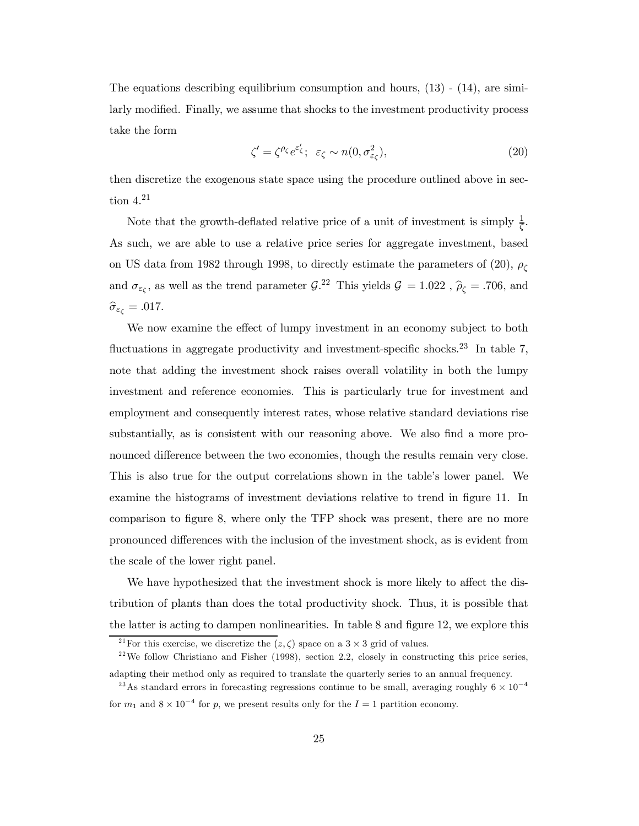The equations describing equilibrium consumption and hours,  $(13)$  -  $(14)$ , are similarly modified. Finally, we assume that shocks to the investment productivity process take the form

$$
\zeta' = \zeta^{\rho_{\zeta}} e^{\varepsilon'_{\zeta}}; \ \varepsilon_{\zeta} \sim n(0, \sigma_{\varepsilon_{\zeta}}^2), \tag{20}
$$

then discretize the exogenous state space using the procedure outlined above in section  $4.^{21}$ 

Note that the growth-deflated relative price of a unit of investment is simply  $\frac{1}{\zeta}$ . As such, we are able to use a relative price series for aggregate investment, based on US data from 1982 through 1998, to directly estimate the parameters of (20),  $\rho_c$ and  $\sigma_{\varepsilon\zeta}$ , as well as the trend parameter  $\mathcal{G}^{22}$ . This yields  $\mathcal{G} = 1.022$ ,  $\hat{\rho}_{\zeta} = .706$ , and  $\widehat{\sigma}_{\varepsilon_{\zeta}} = .017.$ 

We now examine the effect of lumpy investment in an economy subject to both fluctuations in aggregate productivity and investment-specific shocks.<sup>23</sup> In table 7, note that adding the investment shock raises overall volatility in both the lumpy investment and reference economies. This is particularly true for investment and employment and consequently interest rates, whose relative standard deviations rise substantially, as is consistent with our reasoning above. We also find a more pronounced difference between the two economies, though the results remain very close. This is also true for the output correlations shown in the table's lower panel. We examine the histograms of investment deviations relative to trend in figure 11. In comparison to figure 8, where only the TFP shock was present, there are no more pronounced differences with the inclusion of the investment shock, as is evident from the scale of the lower right panel.

We have hypothesized that the investment shock is more likely to affect the distribution of plants than does the total productivity shock. Thus, it is possible that the latter is acting to dampen nonlinearities. In table  $8$  and figure 12, we explore this

<sup>&</sup>lt;sup>21</sup>For this exercise, we discretize the  $(z, \zeta)$  space on a 3  $\times$  3 grid of values.<br><sup>22</sup>We follow Christiano and Fisher (1998), section 2.2, closely in constructing this price series, adapting their method only as required to translate the quarterly series to an annual frequency.

<sup>&</sup>lt;sup>23</sup>As standard errors in forecasting regressions continue to be small, averaging roughly  $6 \times 10^{-4}$ 

for  $m_1$  and  $8 \times 10^{-4}$  for p, we present results only for the  $I = 1$  partition economy.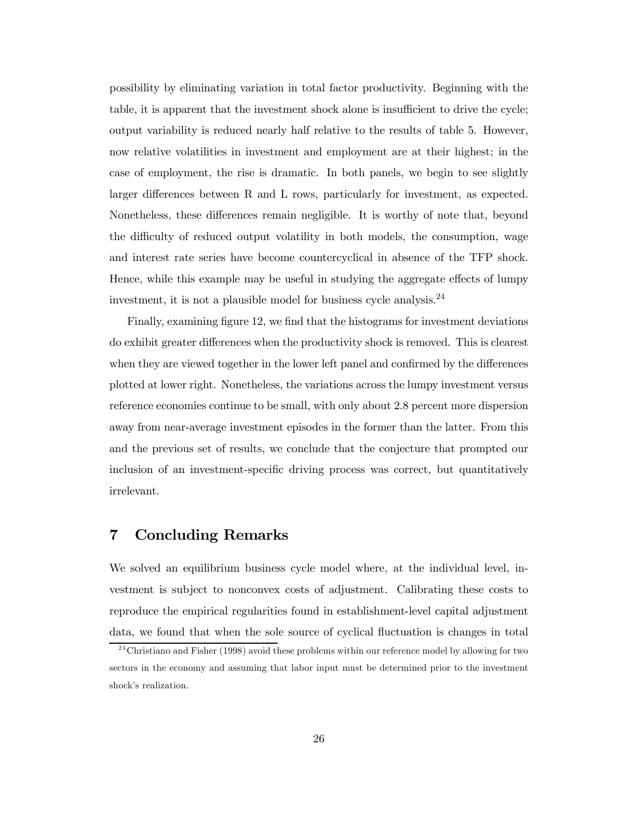possibility by eliminating variation in total factor productivity. Beginning with the table, it is apparent that the investment shock alone is insufficient to drive the cycle; output variability is reduced nearly half relative to the results of table 5. However, now relative volatilities in investment and employment are at their highest; in the case of employment, the rise is dramatic. In both panels, we begin to see slightly larger differences between R and L rows, particularly for investment, as expected. Nonetheless, these differences remain negligible. It is worthy of note that, beyond the difficulty of reduced output volatility in both models, the consumption, wage and interest rate series have become countercyclical in absence of the TFP shock. Hence, while this example may be useful in studying the aggregate effects of lumpy investment, it is not a plausible model for business cycle analysis.<sup>24</sup>

Finally, examining figure 12, we find that the histograms for investment deviations do exhibit greater differences when the productivity shock is removed. This is clearest when they are viewed together in the lower left panel and confirmed by the differences plotted at lower right. Nonetheless, the variations across the lumpy investment versus reference economies continue to be small, with only about 2.8 percent more dispersion away from near-average investment episodes in the former than the latter. From this and the previous set of results, we conclude that the conjecture that prompted our inclusion of an investment-specific driving process was correct, but quantitatively irrelevant.

#### 7 Concluding Remarks

We solved an equilibrium business cycle model where, at the individual level, investment is subject to nonconvex costs of adjustment. Calibrating these costs to reproduce the empirical regularities found in establishment-level capital adjustment data, we found that when the sole source of cyclical fluctuation is changes in total

 $^{24}$ Christiano and Fisher (1998) avoid these problems within our reference model by allowing for two sectors in the economy and assuming that labor input must be determined prior to the investment shock's realization.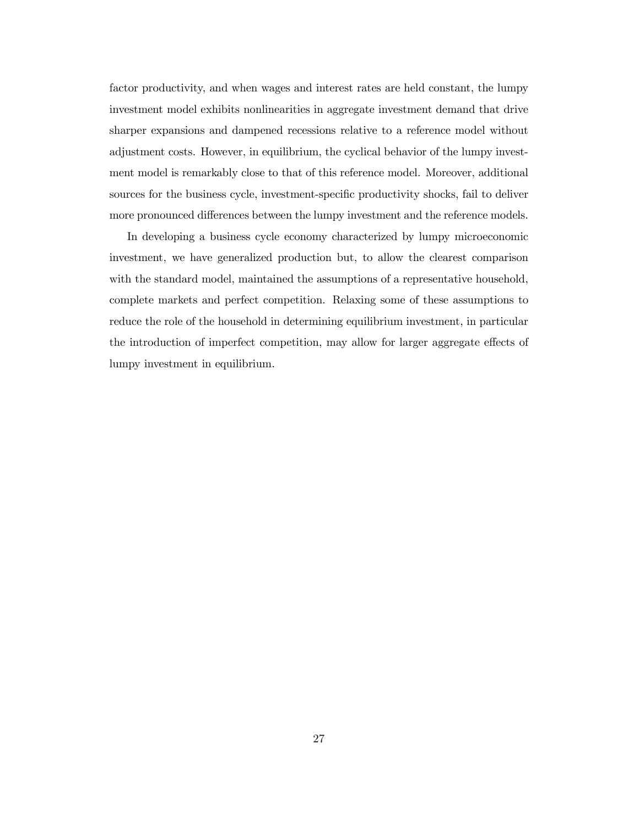factor productivity, and when wages and interest rates are held constant, the lumpy investment model exhibits nonlinearities in aggregate investment demand that drive sharper expansions and dampened recessions relative to a reference model without adjustment costs. However, in equilibrium, the cyclical behavior of the lumpy investment model is remarkably close to that of this reference model. Moreover, additional sources for the business cycle, investment-specific productivity shocks, fail to deliver more pronounced differences between the lumpy investment and the reference models.

In developing a business cycle economy characterized by lumpy microeconomic investment, we have generalized production but, to allow the clearest comparison with the standard model, maintained the assumptions of a representative household, complete markets and perfect competition. Relaxing some of these assumptions to reduce the role of the household in determining equilibrium investment, in particular the introduction of imperfect competition, may allow for larger aggregate effects of lumpy investment in equilibrium.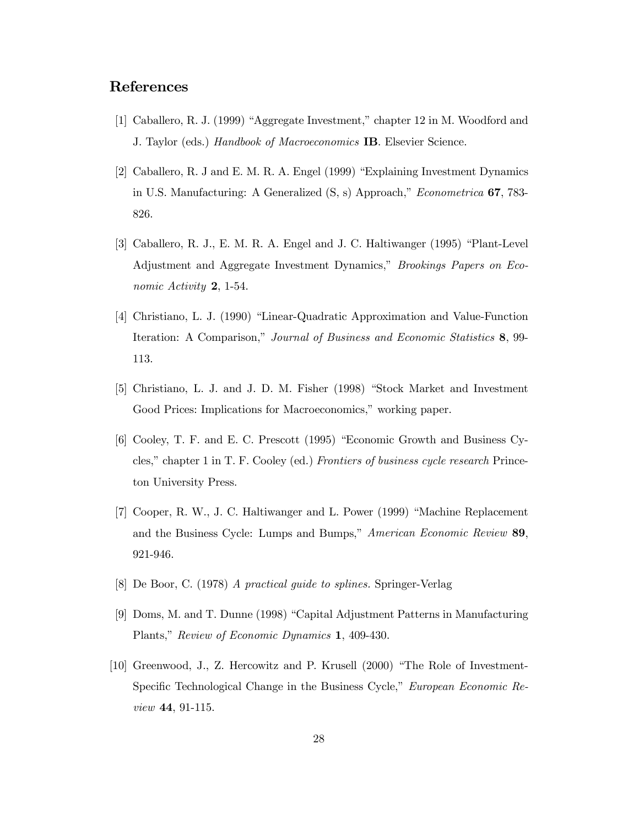#### References

- [1] Caballero, R. J. (1999) "Aggregate Investment," chapter 12 in M. Woodford and J. Taylor (eds.) Handbook of Macroeconomics IB. Elsevier Science.
- [2] Caballero, R. J and E. M. R. A. Engel (1999) "Explaining Investment Dynamics in U.S. Manufacturing: A Generalized (S, s) Approach," Econometrica 67, 783- 826.
- [3] Caballero, R. J., E. M. R. A. Engel and J. C. Haltiwanger (1995) "Plant-Level Adjustment and Aggregate Investment Dynamics," Brookings Papers on Economic Activity 2, 1-54.
- [4] Christiano, L. J. (1990) "Linear-Quadratic Approximation and Value-Function Iteration: A Comparison," Journal of Business and Economic Statistics 8, 99- 113.
- [5] Christiano, L. J. and J. D. M. Fisher (1998) "Stock Market and Investment Good Prices: Implications for Macroeconomics," working paper.
- [6] Cooley, T. F. and E. C. Prescott (1995) "Economic Growth and Business Cycles," chapter 1 in T. F. Cooley (ed.) Frontiers of business cycle research Princeton University Press.
- [7] Cooper, R. W., J. C. Haltiwanger and L. Power (1999) "Machine Replacement and the Business Cycle: Lumps and Bumps," American Economic Review 89, 921-946.
- [8] De Boor, C. (1978) A practical guide to splines. Springer-Verlag
- [9] Doms, M. and T. Dunne (1998) "Capital Adjustment Patterns in Manufacturing Plants," Review of Economic Dynamics 1, 409-430.
- [10] Greenwood, J., Z. Hercowitz and P. Krusell (2000) "The Role of Investment-Specific Technological Change in the Business Cycle," European Economic Review 44, 91-115.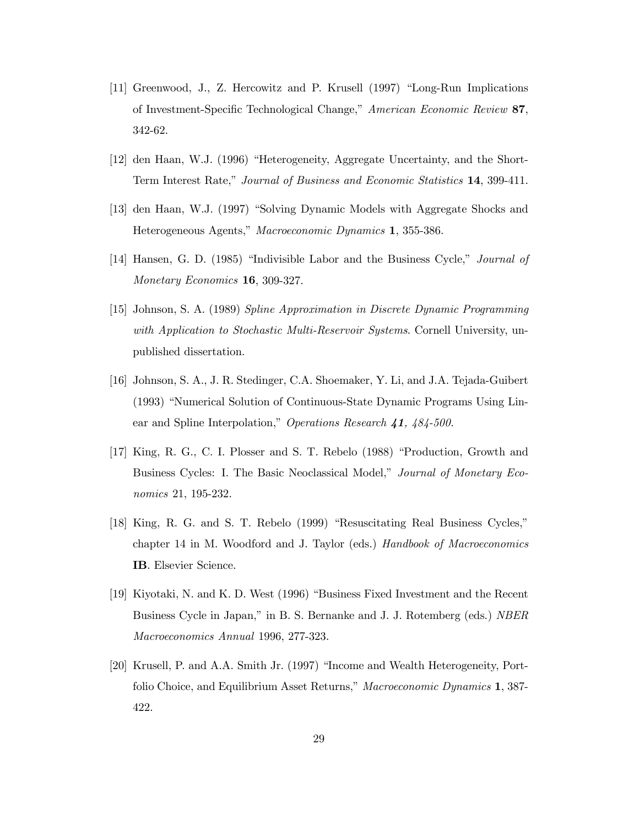- [11] Greenwood, J., Z. Hercowitz and P. Krusell (1997) "Long-Run Implications of Investment-Specific Technological Change," American Economic Review 87, 342-62.
- [12] den Haan, W.J. (1996) "Heterogeneity, Aggregate Uncertainty, and the Short-Term Interest Rate," Journal of Business and Economic Statistics 14, 399-411.
- [13] den Haan, W.J. (1997) "Solving Dynamic Models with Aggregate Shocks and Heterogeneous Agents," Macroeconomic Dynamics 1, 355-386.
- [14] Hansen, G. D. (1985) "Indivisible Labor and the Business Cycle," Journal of Monetary Economics 16, 309-327.
- [15] Johnson, S. A. (1989) Spline Approximation in Discrete Dynamic Programming with Application to Stochastic Multi-Reservoir Systems. Cornell University, unpublished dissertation.
- [16] Johnson, S. A., J. R. Stedinger, C.A. Shoemaker, Y. Li, and J.A. Tejada-Guibert (1993) "Numerical Solution of Continuous-State Dynamic Programs Using Linear and Spline Interpolation," Operations Research 41, 484-500.
- [17] King, R. G., C. I. Plosser and S. T. Rebelo (1988) "Production, Growth and Business Cycles: I. The Basic Neoclassical Model," Journal of Monetary Economics 21, 195-232.
- [18] King, R. G. and S. T. Rebelo (1999) "Resuscitating Real Business Cycles," chapter 14 in M. Woodford and J. Taylor (eds.) Handbook of Macroeconomics IB. Elsevier Science.
- [19] Kiyotaki, N. and K. D. West (1996) "Business Fixed Investment and the Recent Business Cycle in Japan," in B. S. Bernanke and J. J. Rotemberg (eds.) NBER Macroeconomics Annual 1996, 277-323.
- [20] Krusell, P. and A.A. Smith Jr. (1997) "Income and Wealth Heterogeneity, Portfolio Choice, and Equilibrium Asset Returns," Macroeconomic Dynamics 1, 387- 422.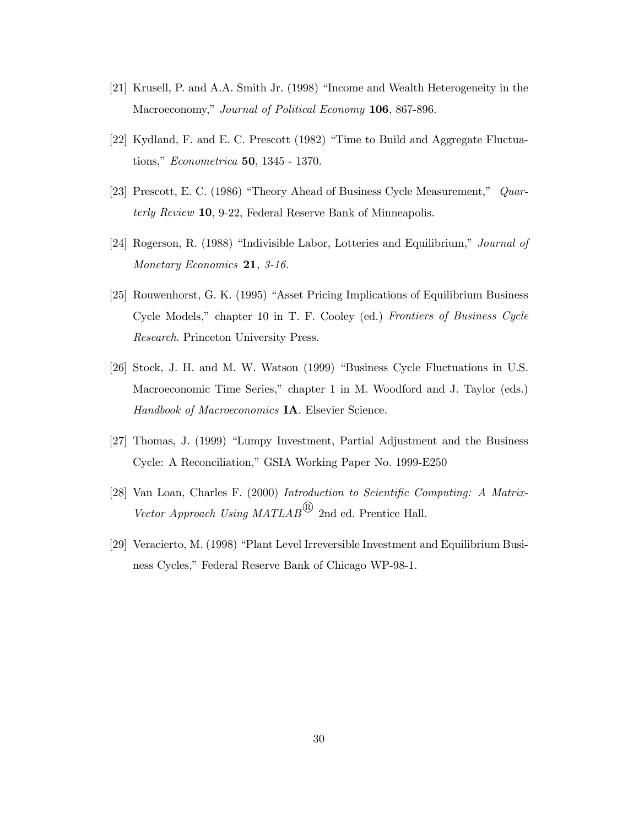- [21] Krusell, P. and A.A. Smith Jr. (1998) "Income and Wealth Heterogeneity in the Macroeconomy," Journal of Political Economy 106, 867-896.
- [22] Kydland, F. and E. C. Prescott (1982) "Time to Build and Aggregate Fluctuations," Econometrica 50, 1345 - 1370.
- [23] Prescott, E. C. (1986) "Theory Ahead of Business Cycle Measurement," Quarterly Review 10, 9-22, Federal Reserve Bank of Minneapolis.
- [24] Rogerson, R. (1988) "Indivisible Labor, Lotteries and Equilibrium," Journal of Monetary Economics 21, 3-16.
- [25] Rouwenhorst, G. K. (1995) "Asset Pricing Implications of Equilibrium Business Cycle Models," chapter 10 in T. F. Cooley (ed.) Frontiers of Business Cycle Research. Princeton University Press.
- [26] Stock, J. H. and M. W. Watson (1999) "Business Cycle Fluctuations in U.S. Macroeconomic Time Series," chapter 1 in M. Woodford and J. Taylor (eds.) Handbook of Macroeconomics IA. Elsevier Science.
- [27] Thomas, J. (1999) "Lumpy Investment, Partial Adjustment and the Business Cycle: A Reconciliation," GSIA Working Paper No. 1999-E250
- [28] Van Loan, Charles F. (2000) Introduction to Scientific Computing: A Matrix-Vector Approach Using  $MATLAB^{(R)}$  2nd ed. Prentice Hall.
- [29] Veracierto, M. (1998) "Plant Level Irreversible Investment and Equilibrium Business Cycles," Federal Reserve Bank of Chicago WP-98-1.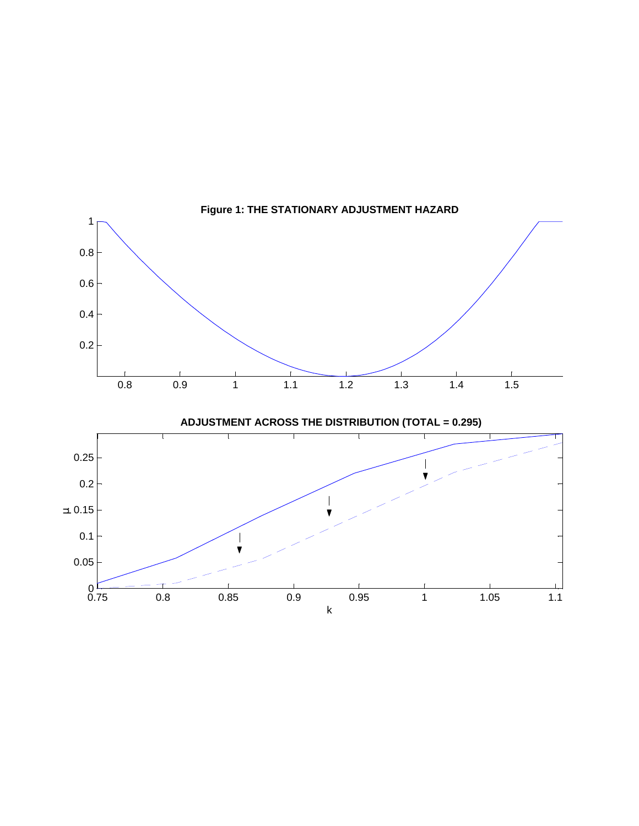

 **Figure 1: THE STATIONARY ADJUSTMENT HAZARD**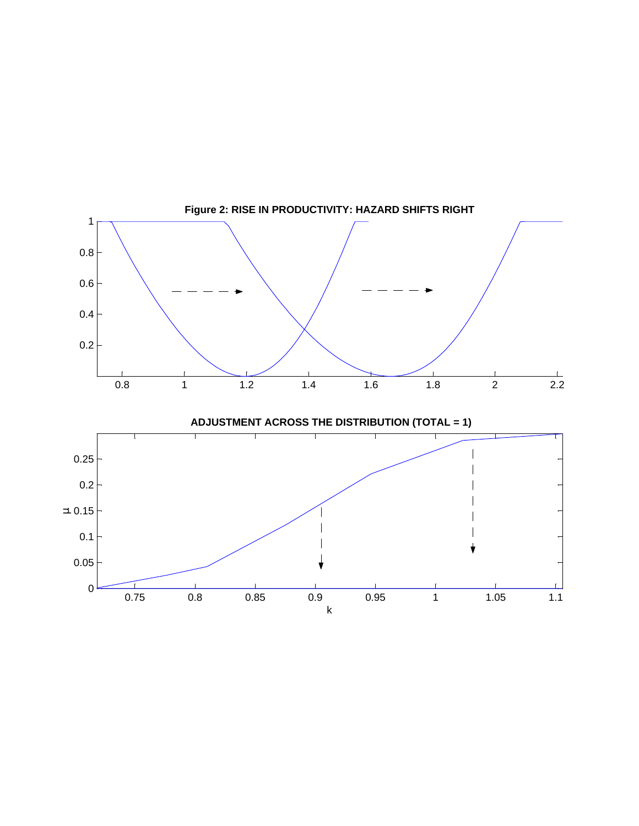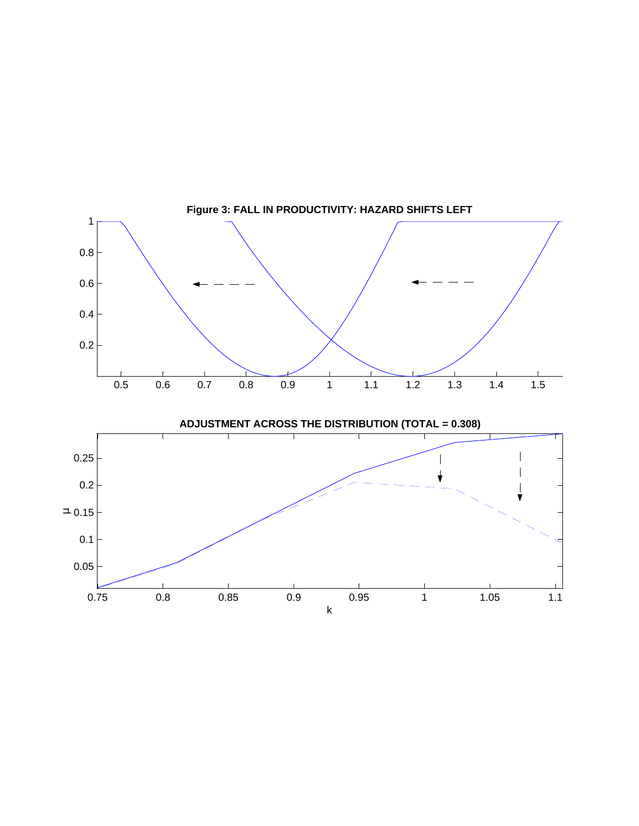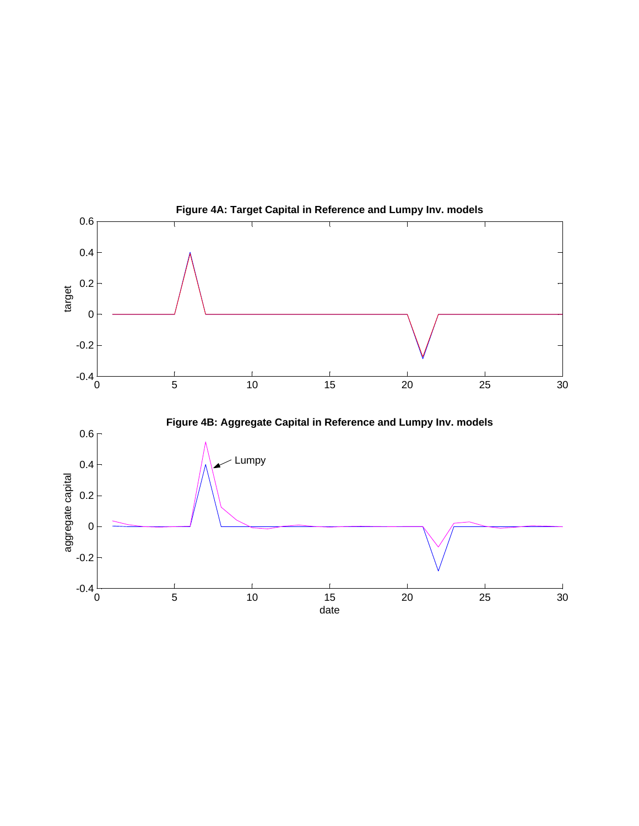

 **Figure 4A: Target Capital in Reference and Lumpy Inv. models**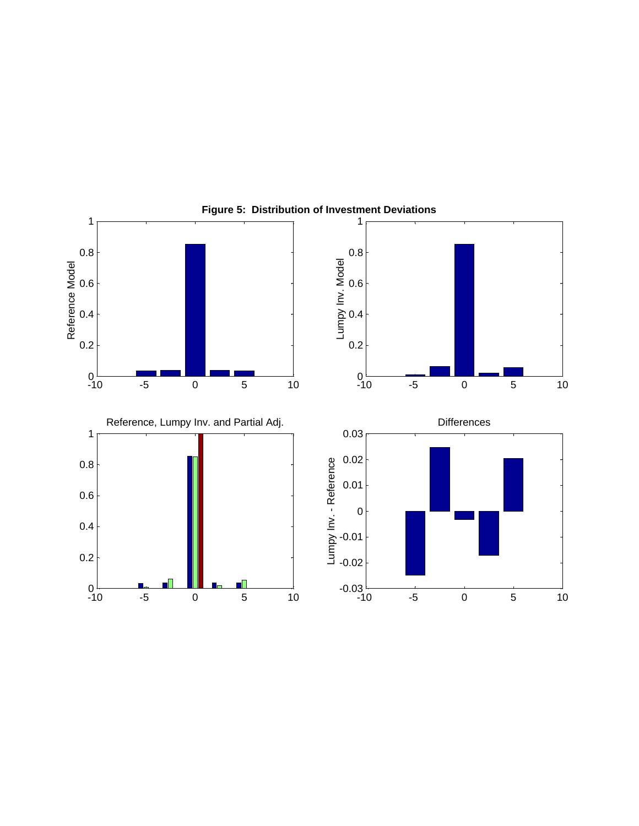

**Figure 5: Distribution of Investment Deviations**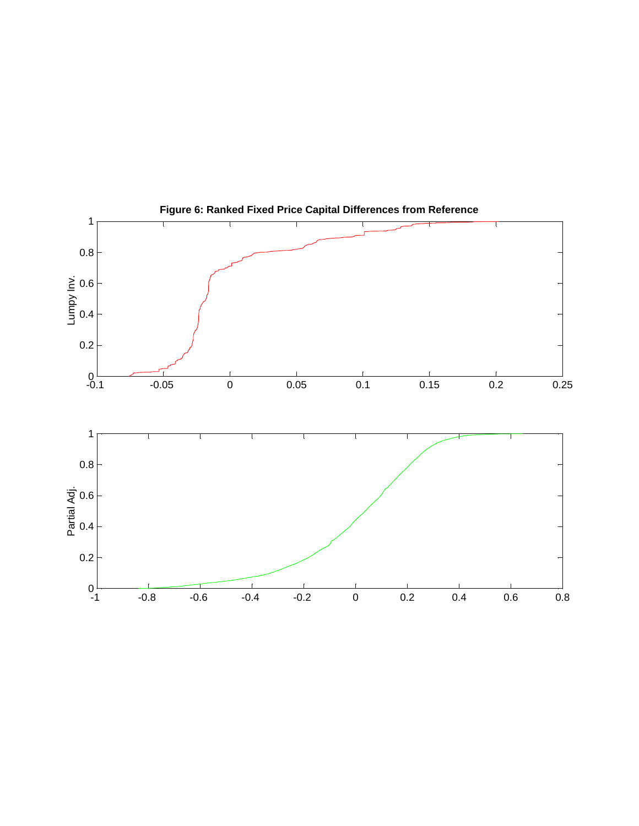

**Figure 6: Ranked Fixed Price Capital Differences from Reference**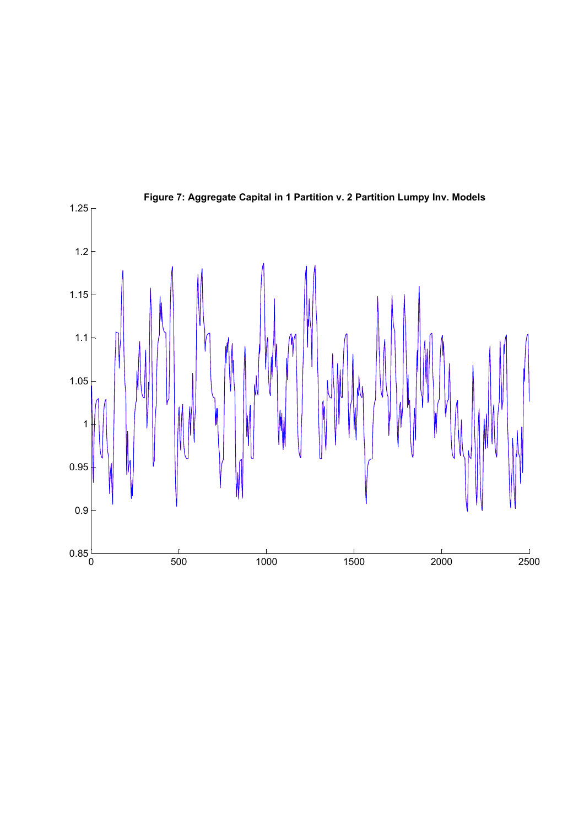

**Figure 7: Aggregate Capital in 1 Partition v. 2 Partition Lumpy Inv. Models**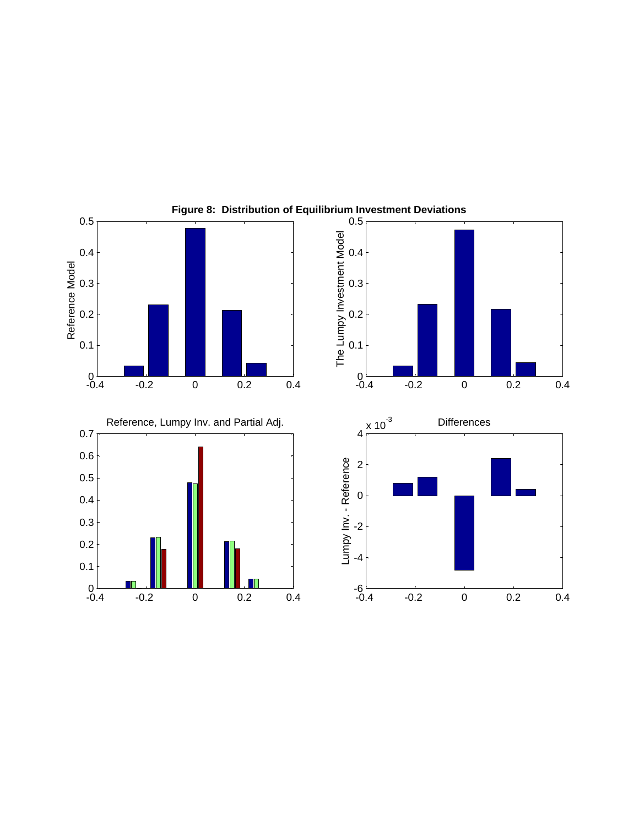

**Figure 8: Distribution of Equilibrium Investment Deviations**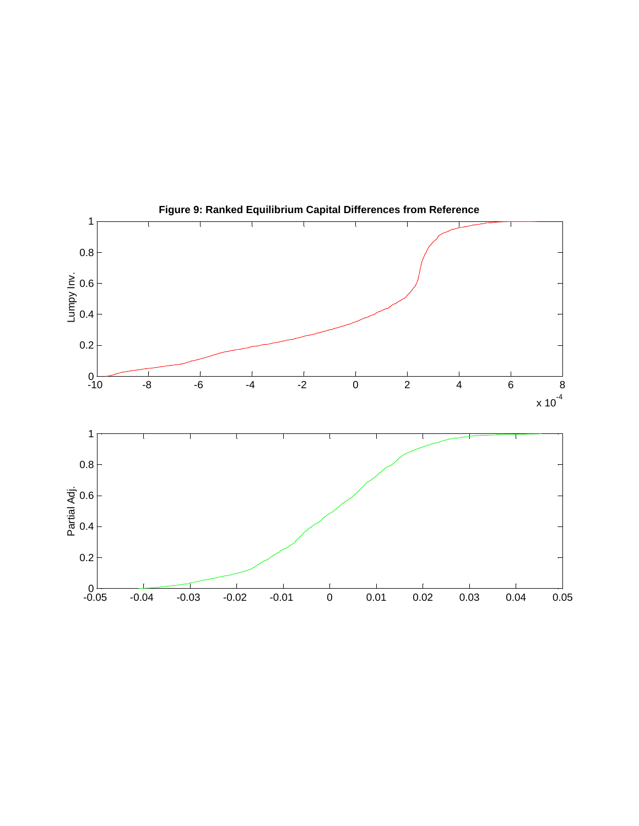

**Figure 9: Ranked Equilibrium Capital Differences from Reference**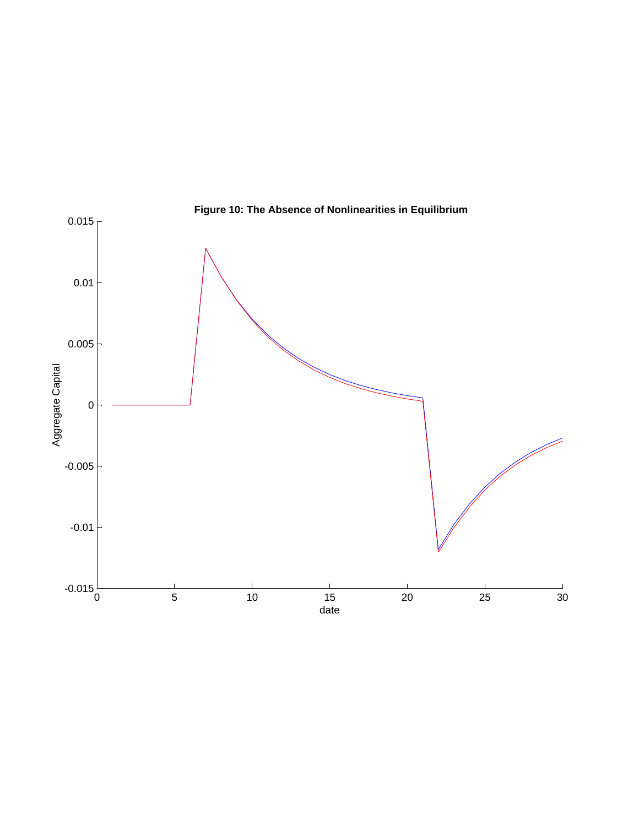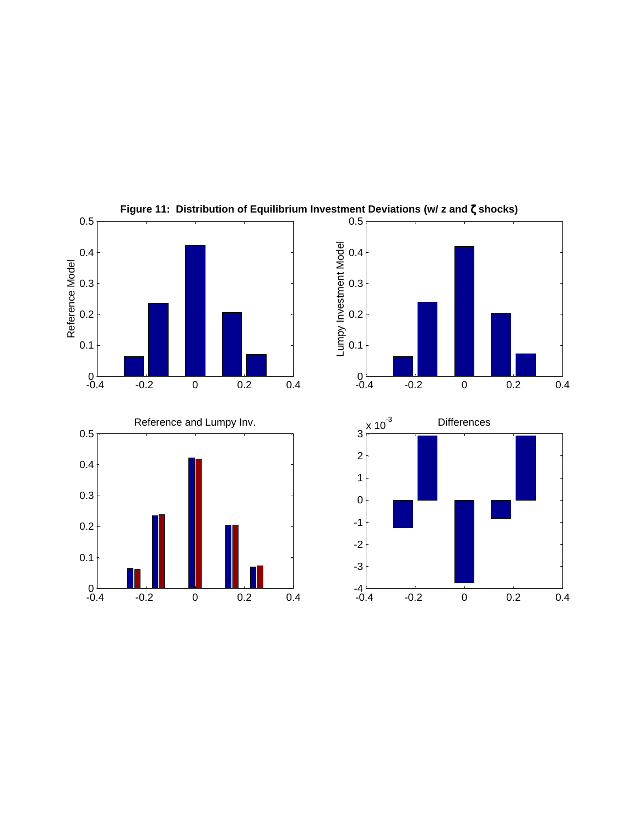

**Figure 11: Distribution of Equilibrium Investment Deviations (w/ z and** ζ **shocks)**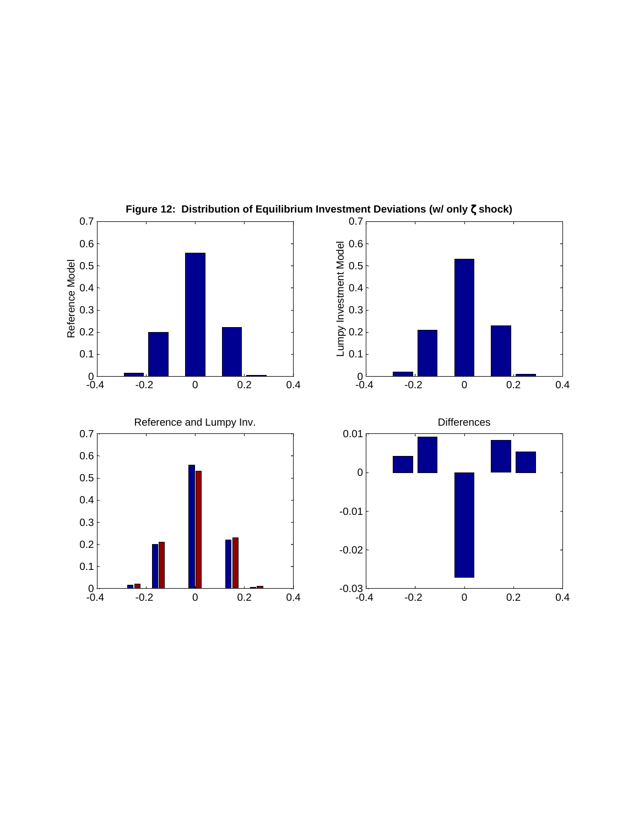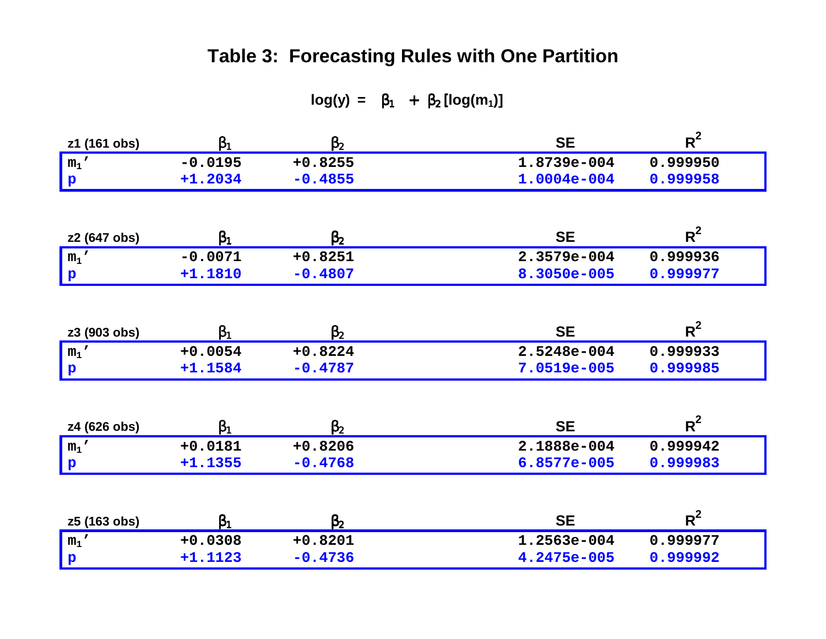## **Table 3: Forecasting Rules with One Partition**

**log(y) =**  $\beta_1$  +  $\beta_2$  [log(m<sub>1</sub>)]

| z1 (161 obs) | $\beta_1$ | $\beta_2$ | <b>SE</b>   | $R^2$    |
|--------------|-----------|-----------|-------------|----------|
| $m_1$ '      | $-0.0195$ | $+0.8255$ | 1.8739e-004 | 0.999950 |
| $\mathbf{p}$ | $+1.2034$ | $-0.4855$ | 1.0004e-004 | 0.999958 |
|              |           |           |             |          |
| z2 (647 obs) | $\beta_1$ | $\beta_2$ | <b>SE</b>   | $R^2$    |
| $m_1$ '      | $-0.0071$ | $+0.8251$ | 2.3579e-004 | 0.999936 |
| $\mathbf{p}$ | $+1.1810$ | $-0.4807$ | 8.3050e-005 | 0.999977 |
|              |           |           |             |          |
| z3 (903 obs) | $\beta_1$ | $\beta_2$ | <b>SE</b>   | $R^2$    |
| $m_1$ '      | $+0.0054$ | $+0.8224$ | 2.5248e-004 | 0.999933 |
| $\mathbf{p}$ | $+1.1584$ | $-0.4787$ | 7.0519e-005 | 0.999985 |
|              |           |           |             |          |
| z4 (626 obs) | $\beta_1$ | $\beta_2$ | <b>SE</b>   | $R^2$    |
| $m_1$ '      | $+0.0181$ | $+0.8206$ | 2.1888e-004 | 0.999942 |
| $\mathbf{p}$ | $+1.1355$ | $-0.4768$ | 6.8577e-005 | 0.999983 |
|              |           |           |             |          |
| z5 (163 obs) | $\beta_1$ | $\beta_2$ | <b>SE</b>   | $R^2$    |
| $m_1$ '      | $+0.0308$ | $+0.8201$ | 1.2563e-004 | 0.999977 |
| $\mathbf{p}$ | $+1.1123$ | $-0.4736$ | 4.2475e-005 | 0.999992 |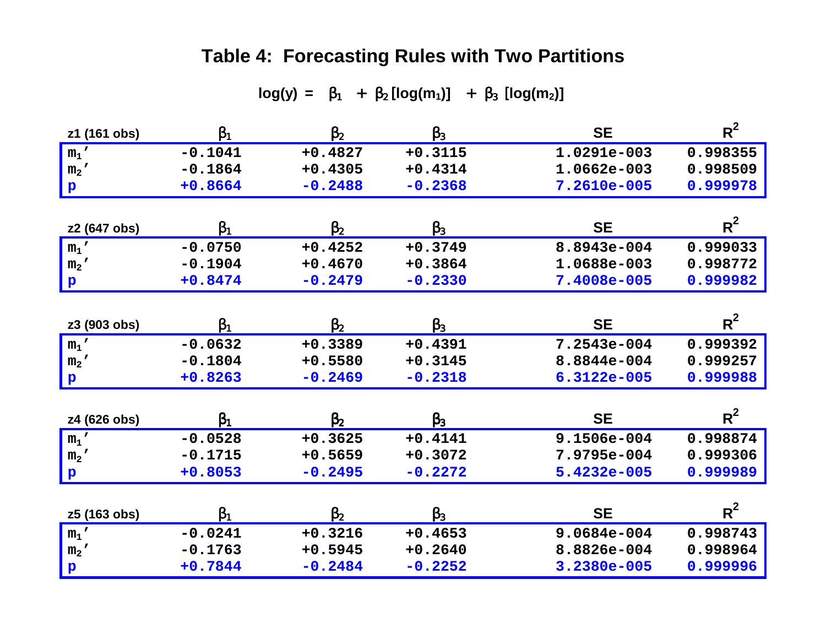## **Table 4: Forecasting Rules with Two Partitions**

### $log(y) = β_1 + β_2 [log(m_1)] + β_3 [log(m_2)]$

| z1 (161 obs)   | $\beta_1$ | $\beta_2$ | $\beta_3$ | <b>SE</b>   | $R^2$    |
|----------------|-----------|-----------|-----------|-------------|----------|
| $m_1$ '        | $-0.1041$ | $+0.4827$ | $+0.3115$ | 1.0291e-003 | 0.998355 |
| m <sub>2</sub> | $-0.1864$ | $+0.4305$ | $+0.4314$ | 1.0662e-003 | 0.998509 |
| $\mathbf{p}$   | +0.8664   | $-0.2488$ | $-0.2368$ | 7.2610e-005 | 0.999978 |
|                |           |           |           |             |          |
| z2 (647 obs)   | $\beta_1$ | $\beta_2$ | $\beta_3$ | <b>SE</b>   | $R^2$    |
| $m_1$ '        | $-0.0750$ | $+0.4252$ | $+0.3749$ | 8.8943e-004 | 0.999033 |
| m <sub>2</sub> | $-0.1904$ | $+0.4670$ | $+0.3864$ | 1.0688e-003 | 0.998772 |
| $\mathbf{p}$   | $+0.8474$ | $-0.2479$ | $-0.2330$ | 7.4008e-005 | 0.999982 |
|                |           |           |           |             |          |
| z3 (903 obs)   | $\beta_1$ | $\beta_2$ | $\beta_3$ | <b>SE</b>   | $R^2$    |
| $m_1$ '        | $-0.0632$ | $+0.3389$ | $+0.4391$ | 7.2543e-004 | 0.999392 |
| m <sub>2</sub> | $-0.1804$ | $+0.5580$ | $+0.3145$ | 8.8844e-004 | 0.999257 |
| $\mathbf{p}$   | $+0.8263$ | $-0.2469$ | $-0.2318$ | 6.3122e-005 | 0.999988 |
|                |           |           |           |             |          |
| z4 (626 obs)   | $\beta_1$ | $\beta_2$ | $\beta_3$ | <b>SE</b>   | $R^2$    |
| $m_1$ '        | $-0.0528$ | $+0.3625$ | $+0.4141$ | 9.1506e-004 | 0.998874 |
| m <sub>2</sub> | $-0.1715$ | $+0.5659$ | $+0.3072$ | 7.9795e-004 | 0.999306 |
| $\mathbf{p}$   | $+0.8053$ | $-0.2495$ | $-0.2272$ | 5.4232e-005 | 0.999989 |
|                |           |           |           |             |          |
| z5 (163 obs)   | $\beta_1$ | $\beta_2$ | $\beta_3$ | <b>SE</b>   | $R^2$    |
| $m_1$ '        | $-0.0241$ | $+0.3216$ | $+0.4653$ | 9.0684e-004 | 0.998743 |
| m <sub>2</sub> | $-0.1763$ | $+0.5945$ | $+0.2640$ | 8.8826e-004 | 0.998964 |
| $\mathbf{p}$   | $+0.7844$ | $-0.2484$ | $-0.2252$ | 3.2380e-005 | 0.999996 |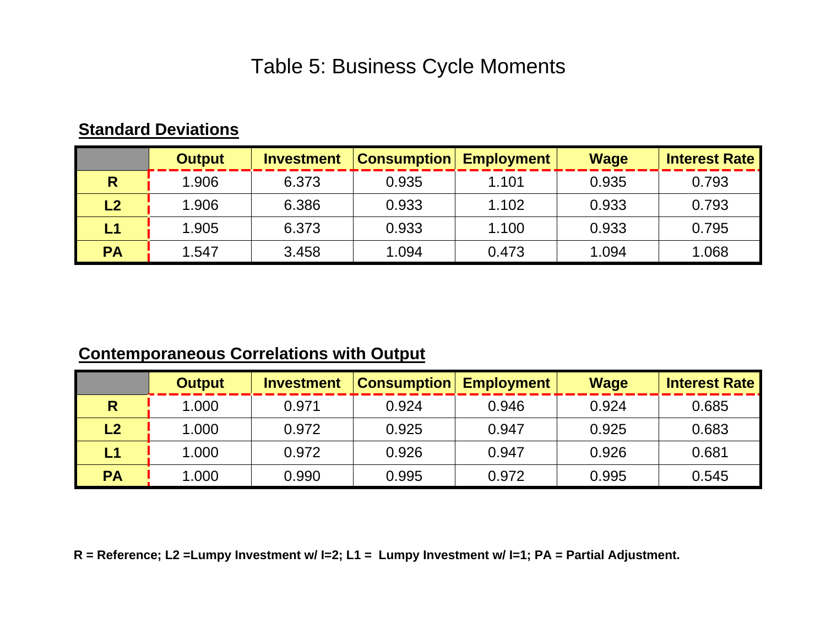## Table 5: Business Cycle Moments

## **Standard Deviations**

|              | <b>Output</b> | <b>Investment</b> | <b>Consumption</b> | <b>Employment</b> | <b>Wage</b> | <b>Interest Rate</b> |
|--------------|---------------|-------------------|--------------------|-------------------|-------------|----------------------|
| $\mathsf{R}$ | 1.906         | 6.373             | 0.935              | 1.101             | 0.935       | 0.793                |
| L2           | 1.906         | 6.386             | 0.933              | 1.102             | 0.933       | 0.793                |
| L1           | 1.905         | 6.373             | 0.933              | 1.100             | 0.933       | 0.795                |
| <b>PA</b>    | 1.547         | 3.458             | 1.094              | 0.473             | 1.094       | 1.068                |

## **Contemporaneous Correlations with Output**

|                        | <b>Output</b> | <b>Investment</b> | <b>Consumption</b> | <b>Employment</b> | <b>Wage</b> | <b>Interest Rate</b> |
|------------------------|---------------|-------------------|--------------------|-------------------|-------------|----------------------|
| R                      | 1.000         | 0.971             | 0.924              | 0.946             | 0.924       | 0.685                |
| $\mathsf{L2}$          | 1.000         | 0.972             | 0.925              | 0.947             | 0.925       | 0.683                |
| $\mathsf{L}\mathsf{1}$ | 1.000         | 0.972             | 0.926              | 0.947             | 0.926       | 0.681                |
| <b>PA</b>              | 1.000         | 0.990             | 0.995              | 0.972             | 0.995       | 0.545                |

 **R = Reference; L2 =Lumpy Investment w/ I=2; L1 = Lumpy Investment w/ I=1; PA = Partial Adjustment.**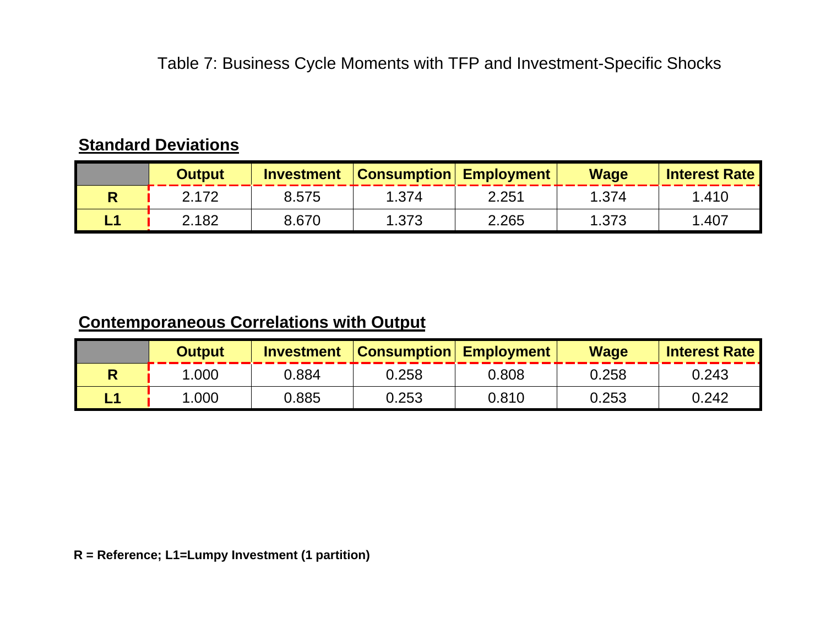## **Standard Deviations**

|     | <b>Output</b> | <b>Investment</b> | <b>Consumption Employment</b> |       | <b>Wage</b> | <b>Interest Rate</b> |
|-----|---------------|-------------------|-------------------------------|-------|-------------|----------------------|
|     | 2 1 7 2       | 8.575             | 1.374                         | 2.251 | 1.374       | 1.410                |
| - 1 | 2.182         | 8.670             | 1.373                         | 2.265 | 1.373       | .407                 |

## **Contemporaneous Correlations with Output**

| Output | <b>Investment</b> | <b>Consumption Employment</b> |       | <b>Wage</b> | <b>Interest Rate</b> |
|--------|-------------------|-------------------------------|-------|-------------|----------------------|
| .000   | 0.884             | 0.258                         | 0.808 | 0.258       | 0.243                |
| .000   | 0.885             | 0.253                         | 0.810 | 0.253       | 0.242                |

 **R = Reference; L1=Lumpy Investment (1 partition)**